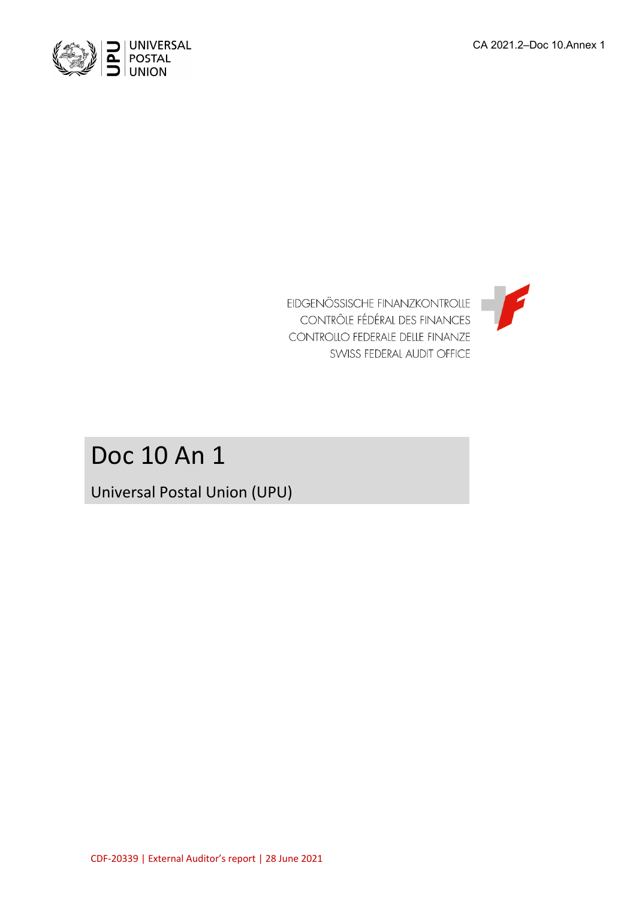



# Doc 10 An 1

Universal Postal Union (UPU)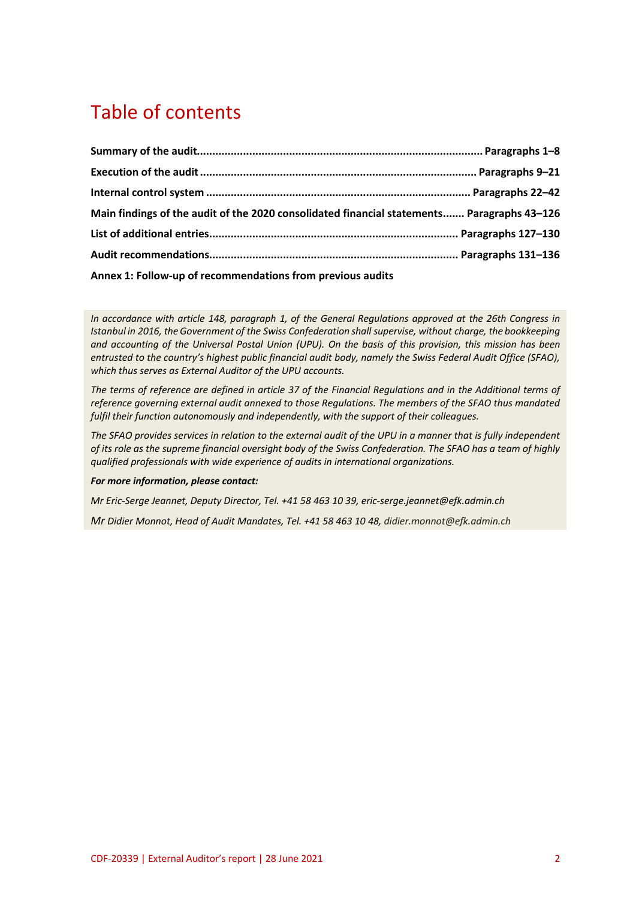# Table of contents

| Main findings of the audit of the 2020 consolidated financial statements Paragraphs 43-126 |  |
|--------------------------------------------------------------------------------------------|--|
|                                                                                            |  |
|                                                                                            |  |
| Annex 1: Follow-up of recommendations from previous audits                                 |  |

*In accordance with article 148, paragraph 1, of the General Regulations approved at the 26th Congress in Istanbul in 2016, the Government of the Swiss Confederation shall supervise, without charge, the bookkeeping and accounting of the Universal Postal Union (UPU). On the basis of this provision, this mission has been entrusted to the country's highest public financial audit body, namely the Swiss Federal Audit Office (SFAO), which thus serves as External Auditor of the UPU accounts.*

*The terms of reference are defined in article 37 of the Financial Regulations and in the Additional terms of reference governing external audit annexed to those Regulations. The members of the SFAO thus mandated fulfil their function autonomously and independently, with the support of their colleagues.*

*The SFAO provides services in relation to the external audit of the UPU in a manner that is fully independent of its role as the supreme financial oversight body of the Swiss Confederation. The SFAO has a team of highly qualified professionals with wide experience of audits in international organizations.*

#### *For more information, please contact:*

*Mr Eric-Serge Jeannet, Deputy Director, Tel. +41 58 463 10 39, eric-serge.jeannet@efk.admin.ch*

*Mr Didier Monnot, Head of Audit Mandates, Tel. +41 58 463 10 48, didier.monnot@efk.admin.ch*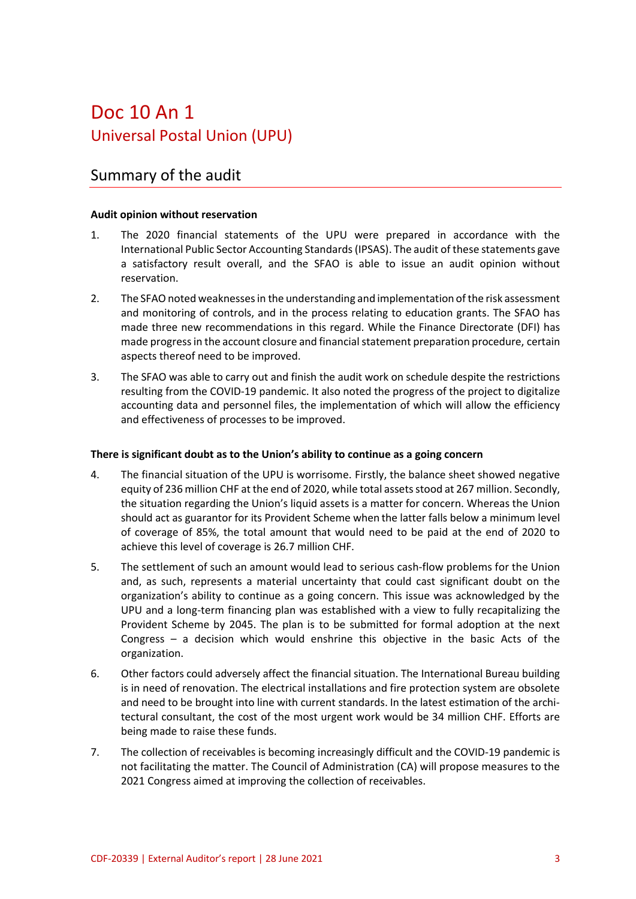# Doc 10 An 1 Universal Postal Union (UPU)

## Summary of the audit

### **Audit opinion without reservation**

- 1. The 2020 financial statements of the UPU were prepared in accordance with the International Public Sector Accounting Standards (IPSAS). The audit of these statements gave a satisfactory result overall, and the SFAO is able to issue an audit opinion without reservation.
- 2. The SFAO noted weaknesses in the understanding and implementation of the risk assessment and monitoring of controls, and in the process relating to education grants. The SFAO has made three new recommendations in this regard. While the Finance Directorate (DFI) has made progress in the account closure and financial statement preparation procedure, certain aspects thereof need to be improved.
- 3. The SFAO was able to carry out and finish the audit work on schedule despite the restrictions resulting from the COVID-19 pandemic. It also noted the progress of the project to digitalize accounting data and personnel files, the implementation of which will allow the efficiency and effectiveness of processes to be improved.

#### **There is significant doubt as to the Union's ability to continue as a going concern**

- 4. The financial situation of the UPU is worrisome. Firstly, the balance sheet showed negative equity of 236 million CHF at the end of 2020, while total assets stood at 267 million. Secondly, the situation regarding the Union's liquid assets is a matter for concern. Whereas the Union should act as guarantor for its Provident Scheme when the latter falls below a minimum level of coverage of 85%, the total amount that would need to be paid at the end of 2020 to achieve this level of coverage is 26.7 million CHF.
- 5. The settlement of such an amount would lead to serious cash-flow problems for the Union and, as such, represents a material uncertainty that could cast significant doubt on the organization's ability to continue as a going concern. This issue was acknowledged by the UPU and a long-term financing plan was established with a view to fully recapitalizing the Provident Scheme by 2045. The plan is to be submitted for formal adoption at the next Congress – a decision which would enshrine this objective in the basic Acts of the organization.
- 6. Other factors could adversely affect the financial situation. The International Bureau building is in need of renovation. The electrical installations and fire protection system are obsolete and need to be brought into line with current standards. In the latest estimation of the architectural consultant, the cost of the most urgent work would be 34 million CHF. Efforts are being made to raise these funds.
- 7. The collection of receivables is becoming increasingly difficult and the COVID-19 pandemic is not facilitating the matter. The Council of Administration (CA) will propose measures to the 2021 Congress aimed at improving the collection of receivables.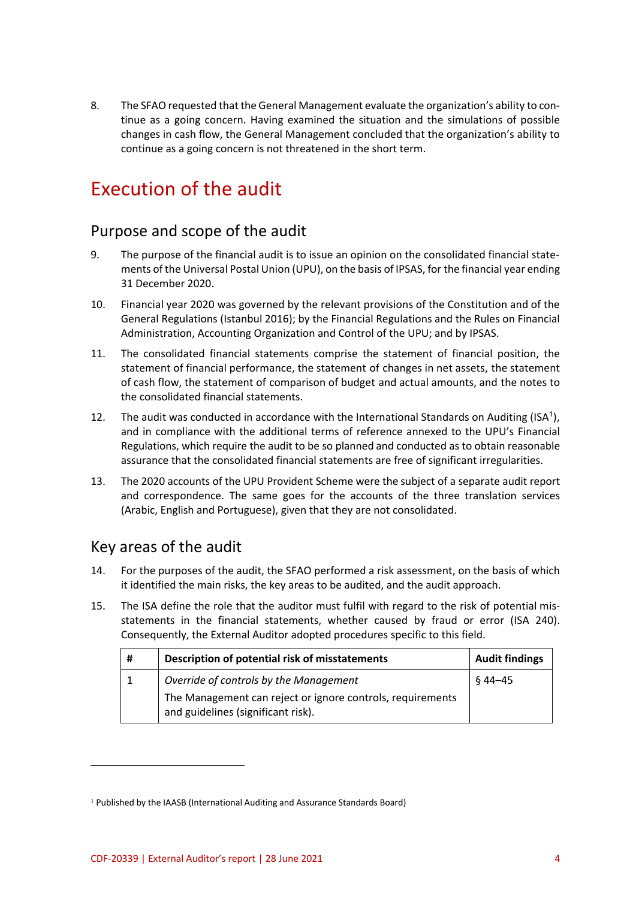8. The SFAO requested that the General Management evaluate the organization's ability to continue as a going concern. Having examined the situation and the simulations of possible changes in cash flow, the General Management concluded that the organization's ability to continue as a going concern is not threatened in the short term.

# Execution of the audit

# Purpose and scope of the audit

- 9. The purpose of the financial audit is to issue an opinion on the consolidated financial statements of the Universal Postal Union (UPU), on the basis of IPSAS, for the financial year ending 31 December 2020.
- 10. Financial year 2020 was governed by the relevant provisions of the Constitution and of the General Regulations (Istanbul 2016); by the Financial Regulations and the Rules on Financial Administration, Accounting Organization and Control of the UPU; and by IPSAS.
- 11. The consolidated financial statements comprise the statement of financial position, the statement of financial performance, the statement of changes in net assets, the statement of cash flow, the statement of comparison of budget and actual amounts, and the notes to the consolidated financial statements.
- 12. The audit was conducted in accordance with the International Standards on Auditing (ISA<sup>1</sup>), and in compliance with the additional terms of reference annexed to the UPU's Financial Regulations, which require the audit to be so planned and conducted as to obtain reasonable assurance that the consolidated financial statements are free of significant irregularities.
- 13. The 2020 accounts of the UPU Provident Scheme were the subject of a separate audit report and correspondence. The same goes for the accounts of the three translation services (Arabic, English and Portuguese), given that they are not consolidated.

# Key areas of the audit

 $\overline{a}$ 

- 14. For the purposes of the audit, the SFAO performed a risk assessment, on the basis of which it identified the main risks, the key areas to be audited, and the audit approach.
- 15. The ISA define the role that the auditor must fulfil with regard to the risk of potential misstatements in the financial statements, whether caused by fraud or error (ISA 240). Consequently, the External Auditor adopted procedures specific to this field.

| # | Description of potential risk of misstatements                                                   | <b>Audit findings</b> |
|---|--------------------------------------------------------------------------------------------------|-----------------------|
|   | Override of controls by the Management                                                           | §44–45                |
|   | The Management can reject or ignore controls, requirements<br>and guidelines (significant risk). |                       |

<sup>1</sup> Published by the IAASB (International Auditing and Assurance Standards Board)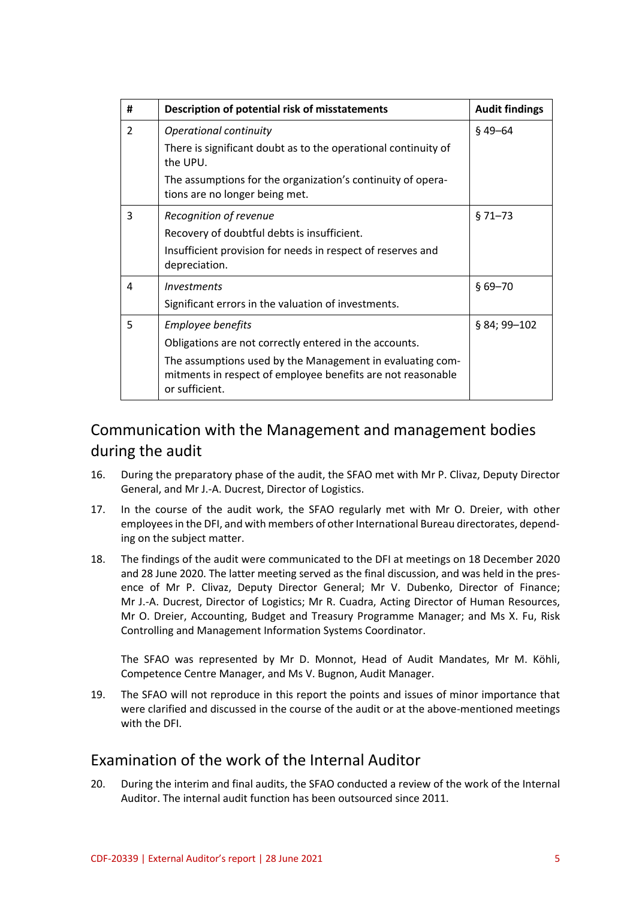| #              | Description of potential risk of misstatements                                                                                             | <b>Audit findings</b> |
|----------------|--------------------------------------------------------------------------------------------------------------------------------------------|-----------------------|
| $\overline{2}$ | Operational continuity                                                                                                                     | $§$ 49-64             |
|                | There is significant doubt as to the operational continuity of<br>the UPU.                                                                 |                       |
|                | The assumptions for the organization's continuity of opera-<br>tions are no longer being met.                                              |                       |
| 3              | Recognition of revenue                                                                                                                     | $$71 - 73$            |
|                | Recovery of doubtful debts is insufficient.                                                                                                |                       |
|                | Insufficient provision for needs in respect of reserves and<br>depreciation.                                                               |                       |
| 4              | Investments                                                                                                                                | $$69 - 70$            |
|                | Significant errors in the valuation of investments.                                                                                        |                       |
| 5              | Employee benefits                                                                                                                          | § 84; 99-102          |
|                | Obligations are not correctly entered in the accounts.                                                                                     |                       |
|                | The assumptions used by the Management in evaluating com-<br>mitments in respect of employee benefits are not reasonable<br>or sufficient. |                       |

# Communication with the Management and management bodies during the audit

- 16. During the preparatory phase of the audit, the SFAO met with Mr P. Clivaz, Deputy Director General, and Mr J.-A. Ducrest, Director of Logistics.
- 17. In the course of the audit work, the SFAO regularly met with Mr O. Dreier, with other employees in the DFI, and with members of other International Bureau directorates, depending on the subject matter.
- 18. The findings of the audit were communicated to the DFI at meetings on 18 December 2020 and 28 June 2020. The latter meeting served as the final discussion, and was held in the presence of Mr P. Clivaz, Deputy Director General; Mr V. Dubenko, Director of Finance; Mr J.-A. Ducrest, Director of Logistics; Mr R. Cuadra, Acting Director of Human Resources, Mr O. Dreier, Accounting, Budget and Treasury Programme Manager; and Ms X. Fu, Risk Controlling and Management Information Systems Coordinator.

The SFAO was represented by Mr D. Monnot, Head of Audit Mandates, Mr M. Köhli, Competence Centre Manager, and Ms V. Bugnon, Audit Manager.

19. The SFAO will not reproduce in this report the points and issues of minor importance that were clarified and discussed in the course of the audit or at the above-mentioned meetings with the DFI.

## Examination of the work of the Internal Auditor

20. During the interim and final audits, the SFAO conducted a review of the work of the Internal Auditor. The internal audit function has been outsourced since 2011.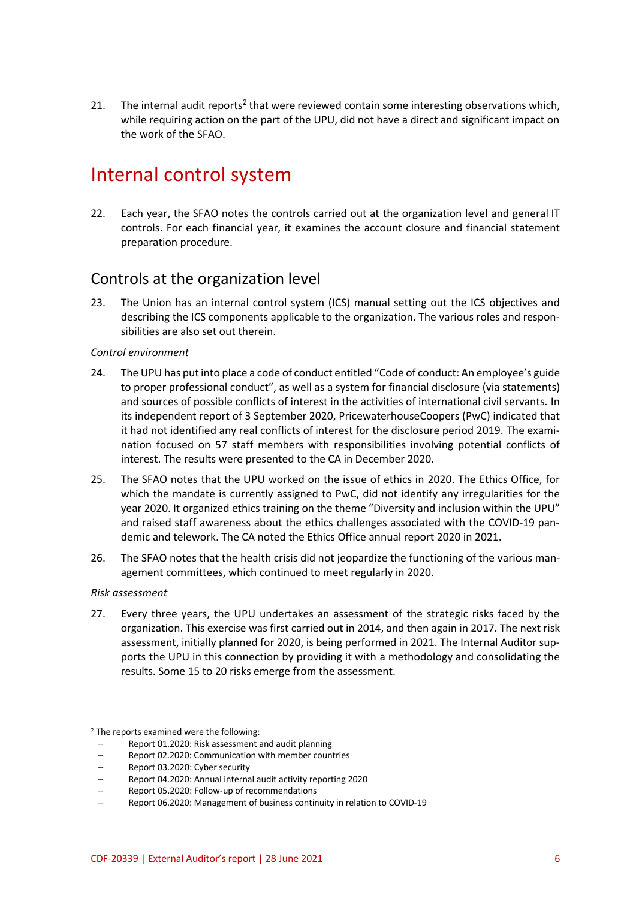21. The internal audit reports<sup>2</sup> that were reviewed contain some interesting observations which, while requiring action on the part of the UPU, did not have a direct and significant impact on the work of the SFAO.

# Internal control system

22. Each year, the SFAO notes the controls carried out at the organization level and general IT controls. For each financial year, it examines the account closure and financial statement preparation procedure.

### Controls at the organization level

23. The Union has an internal control system (ICS) manual setting out the ICS objectives and describing the ICS components applicable to the organization. The various roles and responsibilities are also set out therein.

### *Control environment*

- 24. The UPU has put into place a code of conduct entitled "Code of conduct: An employee's guide to proper professional conduct", as well as a system for financial disclosure (via statements) and sources of possible conflicts of interest in the activities of international civil servants. In its independent report of 3 September 2020, PricewaterhouseCoopers (PwC) indicated that it had not identified any real conflicts of interest for the disclosure period 2019. The examination focused on 57 staff members with responsibilities involving potential conflicts of interest. The results were presented to the CA in December 2020.
- 25. The SFAO notes that the UPU worked on the issue of ethics in 2020. The Ethics Office, for which the mandate is currently assigned to PwC, did not identify any irregularities for the year 2020. It organized ethics training on the theme "Diversity and inclusion within the UPU" and raised staff awareness about the ethics challenges associated with the COVID-19 pandemic and telework. The CA noted the Ethics Office annual report 2020 in 2021.
- 26. The SFAO notes that the health crisis did not jeopardize the functioning of the various management committees, which continued to meet regularly in 2020.

#### *Risk assessment*

 $\overline{a}$ 

27. Every three years, the UPU undertakes an assessment of the strategic risks faced by the organization. This exercise was first carried out in 2014, and then again in 2017. The next risk assessment, initially planned for 2020, is being performed in 2021. The Internal Auditor supports the UPU in this connection by providing it with a methodology and consolidating the results. Some 15 to 20 risks emerge from the assessment.

<sup>&</sup>lt;sup>2</sup> The reports examined were the following:

<sup>–</sup> Report 01.2020: Risk assessment and audit planning

<sup>–</sup> Report 02.2020: Communication with member countries

<sup>–</sup> Report 03.2020: Cyber security

<sup>–</sup> Report 04.2020: Annual internal audit activity reporting 2020

<sup>–</sup> Report 05.2020: Follow-up of recommendations

<sup>–</sup> Report 06.2020: Management of business continuity in relation to COVID-19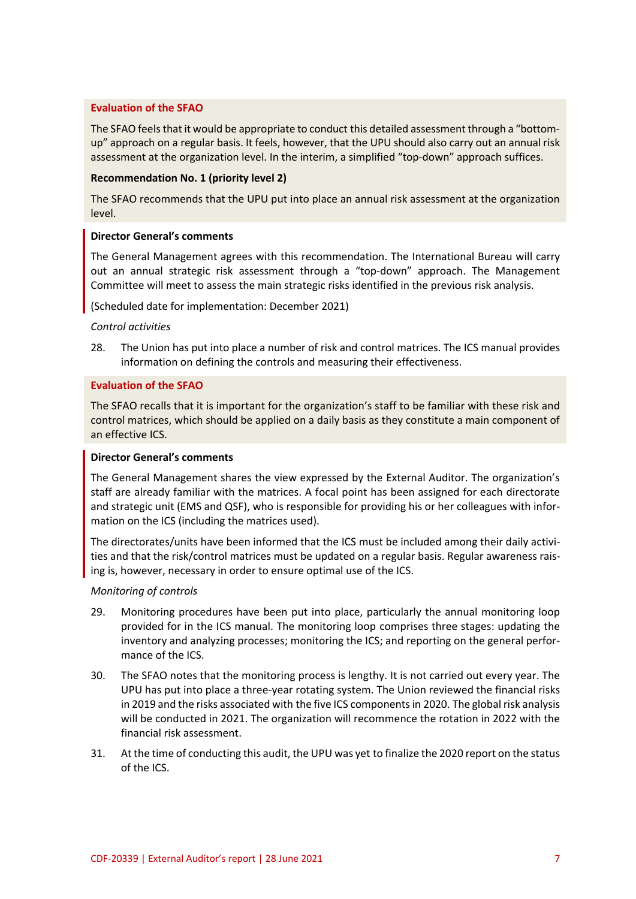### **Evaluation of the SFAO**

The SFAO feels that it would be appropriate to conduct this detailed assessment through a "bottomup" approach on a regular basis. It feels, however, that the UPU should also carry out an annual risk assessment at the organization level. In the interim, a simplified "top-down" approach suffices.

#### **Recommendation No. 1 (priority level 2)**

The SFAO recommends that the UPU put into place an annual risk assessment at the organization level.

#### **Director General's comments**

The General Management agrees with this recommendation. The International Bureau will carry out an annual strategic risk assessment through a "top-down" approach. The Management Committee will meet to assess the main strategic risks identified in the previous risk analysis.

(Scheduled date for implementation: December 2021)

### *Control activities*

28. The Union has put into place a number of risk and control matrices. The ICS manual provides information on defining the controls and measuring their effectiveness.

#### **Evaluation of the SFAO**

The SFAO recalls that it is important for the organization's staff to be familiar with these risk and control matrices, which should be applied on a daily basis as they constitute a main component of an effective ICS.

#### **Director General's comments**

The General Management shares the view expressed by the External Auditor. The organization's staff are already familiar with the matrices. A focal point has been assigned for each directorate and strategic unit (EMS and QSF), who is responsible for providing his or her colleagues with information on the ICS (including the matrices used).

The directorates/units have been informed that the ICS must be included among their daily activities and that the risk/control matrices must be updated on a regular basis. Regular awareness raising is, however, necessary in order to ensure optimal use of the ICS.

### *Monitoring of controls*

- 29. Monitoring procedures have been put into place, particularly the annual monitoring loop provided for in the ICS manual. The monitoring loop comprises three stages: updating the inventory and analyzing processes; monitoring the ICS; and reporting on the general performance of the ICS.
- 30. The SFAO notes that the monitoring process is lengthy. It is not carried out every year. The UPU has put into place a three-year rotating system. The Union reviewed the financial risks in 2019 and the risks associated with the five ICS components in 2020. The global risk analysis will be conducted in 2021. The organization will recommence the rotation in 2022 with the financial risk assessment.
- 31. At the time of conducting this audit, the UPU was yet to finalize the 2020 report on the status of the ICS.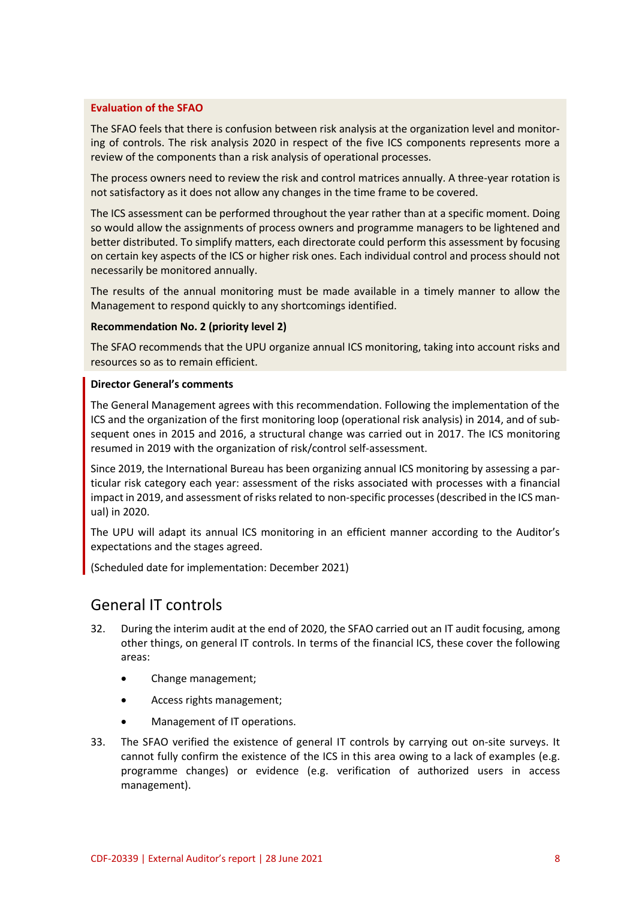### **Evaluation of the SFAO**

The SFAO feels that there is confusion between risk analysis at the organization level and monitoring of controls. The risk analysis 2020 in respect of the five ICS components represents more a review of the components than a risk analysis of operational processes.

The process owners need to review the risk and control matrices annually. A three-year rotation is not satisfactory as it does not allow any changes in the time frame to be covered.

The ICS assessment can be performed throughout the year rather than at a specific moment. Doing so would allow the assignments of process owners and programme managers to be lightened and better distributed. To simplify matters, each directorate could perform this assessment by focusing on certain key aspects of the ICS or higher risk ones. Each individual control and process should not necessarily be monitored annually.

The results of the annual monitoring must be made available in a timely manner to allow the Management to respond quickly to any shortcomings identified.

#### **Recommendation No. 2 (priority level 2)**

The SFAO recommends that the UPU organize annual ICS monitoring, taking into account risks and resources so as to remain efficient.

#### **Director General's comments**

The General Management agrees with this recommendation. Following the implementation of the ICS and the organization of the first monitoring loop (operational risk analysis) in 2014, and of subsequent ones in 2015 and 2016, a structural change was carried out in 2017. The ICS monitoring resumed in 2019 with the organization of risk/control self-assessment.

Since 2019, the International Bureau has been organizing annual ICS monitoring by assessing a particular risk category each year: assessment of the risks associated with processes with a financial impact in 2019, and assessment of risks related to non-specific processes (described in the ICS manual) in 2020.

The UPU will adapt its annual ICS monitoring in an efficient manner according to the Auditor's expectations and the stages agreed.

(Scheduled date for implementation: December 2021)

## General IT controls

- 32. During the interim audit at the end of 2020, the SFAO carried out an IT audit focusing, among other things, on general IT controls. In terms of the financial ICS, these cover the following areas:
	- Change management;
	- Access rights management;
	- Management of IT operations.
- 33. The SFAO verified the existence of general IT controls by carrying out on-site surveys. It cannot fully confirm the existence of the ICS in this area owing to a lack of examples (e.g. programme changes) or evidence (e.g. verification of authorized users in access management).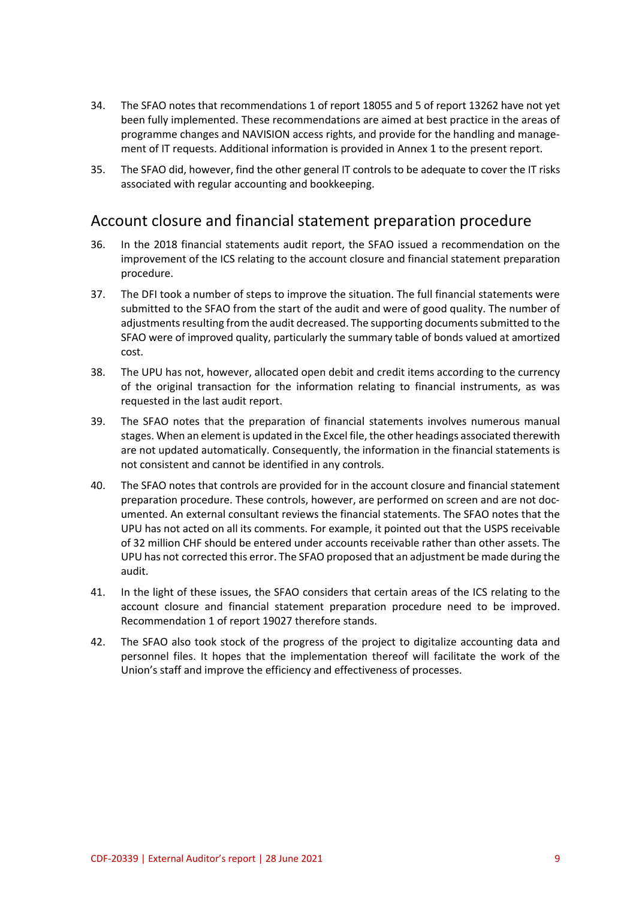- 34. The SFAO notes that recommendations 1 of report 18055 and 5 of report 13262 have not yet been fully implemented. These recommendations are aimed at best practice in the areas of programme changes and NAVISION access rights, and provide for the handling and management of IT requests. Additional information is provided in Annex 1 to the present report.
- 35. The SFAO did, however, find the other general IT controls to be adequate to cover the IT risks associated with regular accounting and bookkeeping.

### Account closure and financial statement preparation procedure

- 36. In the 2018 financial statements audit report, the SFAO issued a recommendation on the improvement of the ICS relating to the account closure and financial statement preparation procedure.
- 37. The DFI took a number of steps to improve the situation. The full financial statements were submitted to the SFAO from the start of the audit and were of good quality. The number of adjustments resulting from the audit decreased. The supporting documents submitted to the SFAO were of improved quality, particularly the summary table of bonds valued at amortized cost.
- 38. The UPU has not, however, allocated open debit and credit items according to the currency of the original transaction for the information relating to financial instruments, as was requested in the last audit report.
- 39. The SFAO notes that the preparation of financial statements involves numerous manual stages. When an element is updated in the Excel file, the other headings associated therewith are not updated automatically. Consequently, the information in the financial statements is not consistent and cannot be identified in any controls.
- 40. The SFAO notes that controls are provided for in the account closure and financial statement preparation procedure. These controls, however, are performed on screen and are not documented. An external consultant reviews the financial statements. The SFAO notes that the UPU has not acted on all its comments. For example, it pointed out that the USPS receivable of 32 million CHF should be entered under accounts receivable rather than other assets. The UPU has not corrected this error. The SFAO proposed that an adjustment be made during the audit.
- 41. In the light of these issues, the SFAO considers that certain areas of the ICS relating to the account closure and financial statement preparation procedure need to be improved. Recommendation 1 of report 19027 therefore stands.
- 42. The SFAO also took stock of the progress of the project to digitalize accounting data and personnel files. It hopes that the implementation thereof will facilitate the work of the Union's staff and improve the efficiency and effectiveness of processes.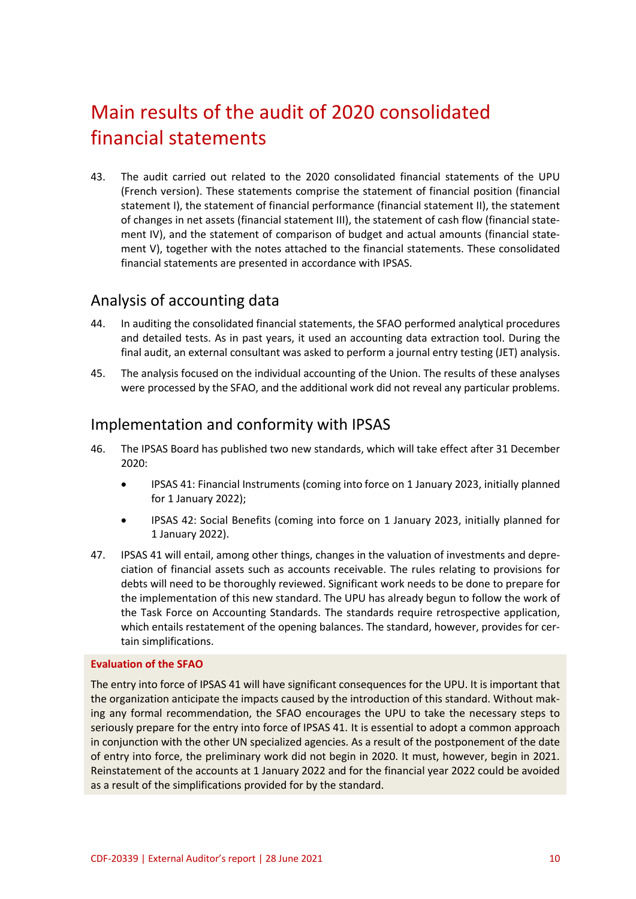# Main results of the audit of 2020 consolidated financial statements

43. The audit carried out related to the 2020 consolidated financial statements of the UPU (French version). These statements comprise the statement of financial position (financial statement I), the statement of financial performance (financial statement II), the statement of changes in net assets (financial statement III), the statement of cash flow (financial statement IV), and the statement of comparison of budget and actual amounts (financial statement V), together with the notes attached to the financial statements. These consolidated financial statements are presented in accordance with IPSAS.

### Analysis of accounting data

- 44. In auditing the consolidated financial statements, the SFAO performed analytical procedures and detailed tests. As in past years, it used an accounting data extraction tool. During the final audit, an external consultant was asked to perform a journal entry testing (JET) analysis.
- 45. The analysis focused on the individual accounting of the Union. The results of these analyses were processed by the SFAO, and the additional work did not reveal any particular problems.

### Implementation and conformity with IPSAS

- 46. The IPSAS Board has published two new standards, which will take effect after 31 December 2020:
	- IPSAS 41: Financial Instruments (coming into force on 1 January 2023, initially planned for 1 January 2022);
	- IPSAS 42: Social Benefits (coming into force on 1 January 2023, initially planned for 1 January 2022).
- 47. IPSAS 41 will entail, among other things, changes in the valuation of investments and depreciation of financial assets such as accounts receivable. The rules relating to provisions for debts will need to be thoroughly reviewed. Significant work needs to be done to prepare for the implementation of this new standard. The UPU has already begun to follow the work of the Task Force on Accounting Standards. The standards require retrospective application, which entails restatement of the opening balances. The standard, however, provides for certain simplifications.

#### **Evaluation of the SFAO**

The entry into force of IPSAS 41 will have significant consequences for the UPU. It is important that the organization anticipate the impacts caused by the introduction of this standard. Without making any formal recommendation, the SFAO encourages the UPU to take the necessary steps to seriously prepare for the entry into force of IPSAS 41. It is essential to adopt a common approach in conjunction with the other UN specialized agencies. As a result of the postponement of the date of entry into force, the preliminary work did not begin in 2020. It must, however, begin in 2021. Reinstatement of the accounts at 1 January 2022 and for the financial year 2022 could be avoided as a result of the simplifications provided for by the standard.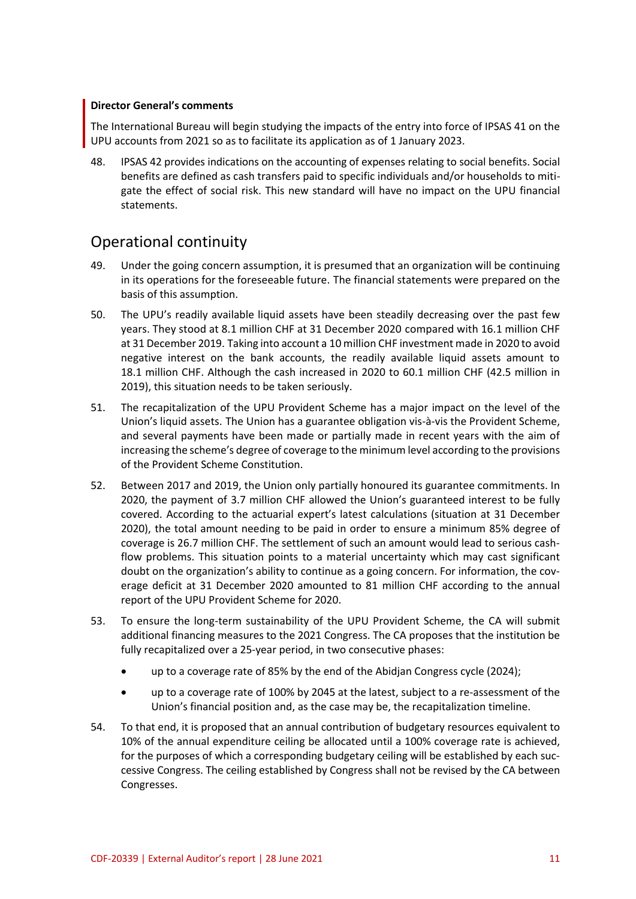### **Director General's comments**

The International Bureau will begin studying the impacts of the entry into force of IPSAS 41 on the UPU accounts from 2021 so as to facilitate its application as of 1 January 2023.

48. IPSAS 42 provides indications on the accounting of expenses relating to social benefits. Social benefits are defined as cash transfers paid to specific individuals and/or households to mitigate the effect of social risk. This new standard will have no impact on the UPU financial statements.

### Operational continuity

- 49. Under the going concern assumption, it is presumed that an organization will be continuing in its operations for the foreseeable future. The financial statements were prepared on the basis of this assumption.
- 50. The UPU's readily available liquid assets have been steadily decreasing over the past few years. They stood at 8.1 million CHF at 31 December 2020 compared with 16.1 million CHF at 31 December 2019. Taking into account a 10 million CHF investment made in 2020 to avoid negative interest on the bank accounts, the readily available liquid assets amount to 18.1 million CHF. Although the cash increased in 2020 to 60.1 million CHF (42.5 million in 2019), this situation needs to be taken seriously.
- 51. The recapitalization of the UPU Provident Scheme has a major impact on the level of the Union's liquid assets. The Union has a guarantee obligation vis-à-vis the Provident Scheme, and several payments have been made or partially made in recent years with the aim of increasing the scheme's degree of coverage to the minimum level according to the provisions of the Provident Scheme Constitution.
- 52. Between 2017 and 2019, the Union only partially honoured its guarantee commitments. In 2020, the payment of 3.7 million CHF allowed the Union's guaranteed interest to be fully covered. According to the actuarial expert's latest calculations (situation at 31 December 2020), the total amount needing to be paid in order to ensure a minimum 85% degree of coverage is 26.7 million CHF. The settlement of such an amount would lead to serious cashflow problems. This situation points to a material uncertainty which may cast significant doubt on the organization's ability to continue as a going concern. For information, the coverage deficit at 31 December 2020 amounted to 81 million CHF according to the annual report of the UPU Provident Scheme for 2020.
- 53. To ensure the long-term sustainability of the UPU Provident Scheme, the CA will submit additional financing measures to the 2021 Congress. The CA proposes that the institution be fully recapitalized over a 25-year period, in two consecutive phases:
	- up to a coverage rate of 85% by the end of the Abidjan Congress cycle (2024);
	- up to a coverage rate of 100% by 2045 at the latest, subject to a re-assessment of the Union's financial position and, as the case may be, the recapitalization timeline.
- 54. To that end, it is proposed that an annual contribution of budgetary resources equivalent to 10% of the annual expenditure ceiling be allocated until a 100% coverage rate is achieved, for the purposes of which a corresponding budgetary ceiling will be established by each successive Congress. The ceiling established by Congress shall not be revised by the CA between Congresses.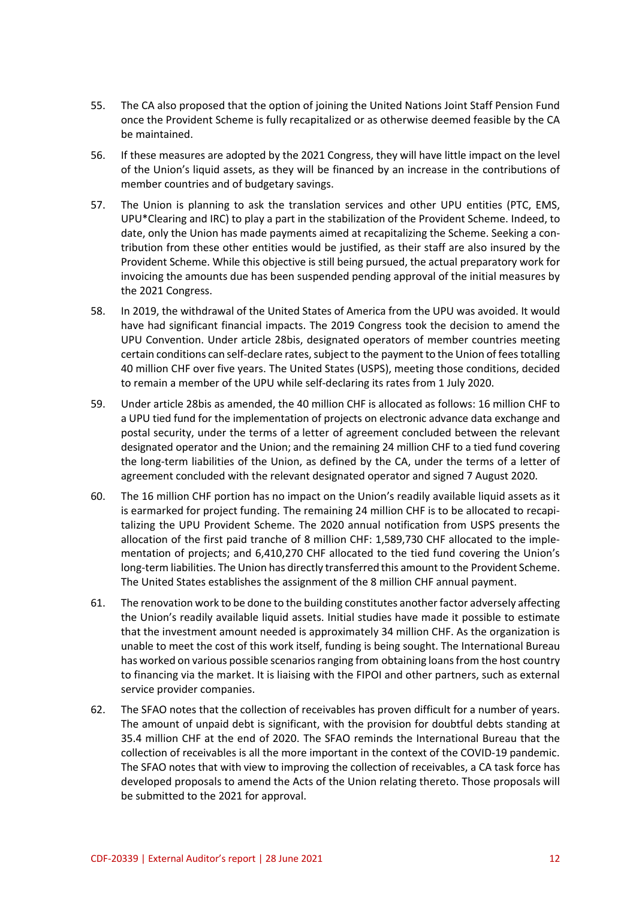- 55. The CA also proposed that the option of joining the United Nations Joint Staff Pension Fund once the Provident Scheme is fully recapitalized or as otherwise deemed feasible by the CA be maintained.
- 56. If these measures are adopted by the 2021 Congress, they will have little impact on the level of the Union's liquid assets, as they will be financed by an increase in the contributions of member countries and of budgetary savings.
- 57. The Union is planning to ask the translation services and other UPU entities (PTC, EMS, UPU\*Clearing and IRC) to play a part in the stabilization of the Provident Scheme. Indeed, to date, only the Union has made payments aimed at recapitalizing the Scheme. Seeking a contribution from these other entities would be justified, as their staff are also insured by the Provident Scheme. While this objective is still being pursued, the actual preparatory work for invoicing the amounts due has been suspended pending approval of the initial measures by the 2021 Congress.
- 58. In 2019, the withdrawal of the United States of America from the UPU was avoided. It would have had significant financial impacts. The 2019 Congress took the decision to amend the UPU Convention. Under article 28bis, designated operators of member countries meeting certain conditions can self-declare rates, subject to the payment to the Union of fees totalling 40 million CHF over five years. The United States (USPS), meeting those conditions, decided to remain a member of the UPU while self-declaring its rates from 1 July 2020.
- 59. Under article 28bis as amended, the 40 million CHF is allocated as follows: 16 million CHF to a UPU tied fund for the implementation of projects on electronic advance data exchange and postal security, under the terms of a letter of agreement concluded between the relevant designated operator and the Union; and the remaining 24 million CHF to a tied fund covering the long-term liabilities of the Union, as defined by the CA, under the terms of a letter of agreement concluded with the relevant designated operator and signed 7 August 2020.
- 60. The 16 million CHF portion has no impact on the Union's readily available liquid assets as it is earmarked for project funding. The remaining 24 million CHF is to be allocated to recapitalizing the UPU Provident Scheme. The 2020 annual notification from USPS presents the allocation of the first paid tranche of 8 million CHF: 1,589,730 CHF allocated to the implementation of projects; and 6,410,270 CHF allocated to the tied fund covering the Union's long-term liabilities. The Union has directly transferred this amount to the Provident Scheme. The United States establishes the assignment of the 8 million CHF annual payment.
- 61. The renovation work to be done to the building constitutes another factor adversely affecting the Union's readily available liquid assets. Initial studies have made it possible to estimate that the investment amount needed is approximately 34 million CHF. As the organization is unable to meet the cost of this work itself, funding is being sought. The International Bureau has worked on various possible scenarios ranging from obtaining loans from the host country to financing via the market. It is liaising with the FIPOI and other partners, such as external service provider companies.
- 62. The SFAO notes that the collection of receivables has proven difficult for a number of years. The amount of unpaid debt is significant, with the provision for doubtful debts standing at 35.4 million CHF at the end of 2020. The SFAO reminds the International Bureau that the collection of receivables is all the more important in the context of the COVID-19 pandemic. The SFAO notes that with view to improving the collection of receivables, a CA task force has developed proposals to amend the Acts of the Union relating thereto. Those proposals will be submitted to the 2021 for approval.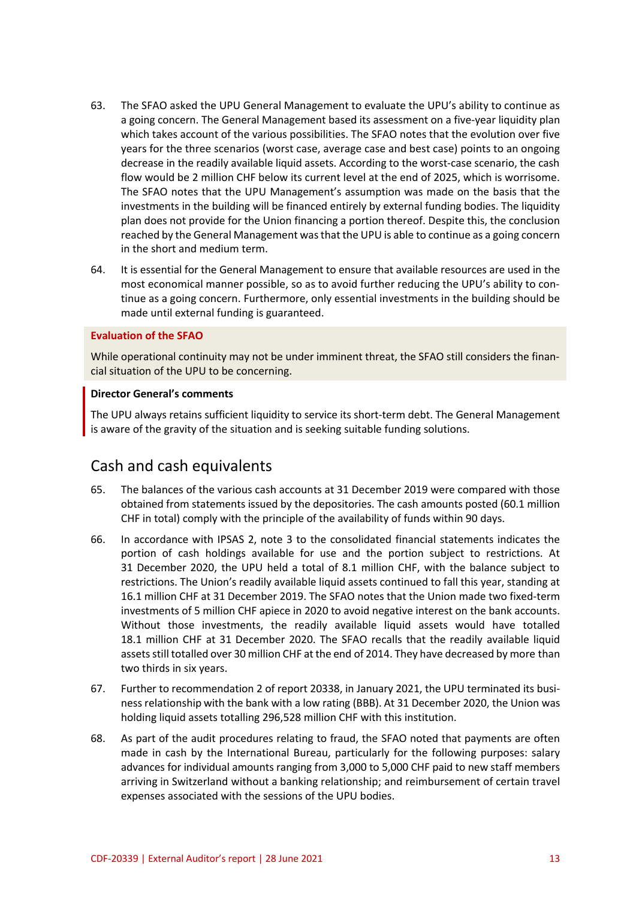- 63. The SFAO asked the UPU General Management to evaluate the UPU's ability to continue as a going concern. The General Management based its assessment on a five-year liquidity plan which takes account of the various possibilities. The SFAO notes that the evolution over five years for the three scenarios (worst case, average case and best case) points to an ongoing decrease in the readily available liquid assets. According to the worst-case scenario, the cash flow would be 2 million CHF below its current level at the end of 2025, which is worrisome. The SFAO notes that the UPU Management's assumption was made on the basis that the investments in the building will be financed entirely by external funding bodies. The liquidity plan does not provide for the Union financing a portion thereof. Despite this, the conclusion reached by the General Management was that the UPU is able to continue as a going concern in the short and medium term.
- 64. It is essential for the General Management to ensure that available resources are used in the most economical manner possible, so as to avoid further reducing the UPU's ability to continue as a going concern. Furthermore, only essential investments in the building should be made until external funding is guaranteed.

#### **Evaluation of the SFAO**

While operational continuity may not be under imminent threat, the SFAO still considers the financial situation of the UPU to be concerning.

#### **Director General's comments**

The UPU always retains sufficient liquidity to service its short-term debt. The General Management is aware of the gravity of the situation and is seeking suitable funding solutions.

### Cash and cash equivalents

- 65. The balances of the various cash accounts at 31 December 2019 were compared with those obtained from statements issued by the depositories. The cash amounts posted (60.1 million CHF in total) comply with the principle of the availability of funds within 90 days.
- 66. In accordance with IPSAS 2, note 3 to the consolidated financial statements indicates the portion of cash holdings available for use and the portion subject to restrictions. At 31 December 2020, the UPU held a total of 8.1 million CHF, with the balance subject to restrictions. The Union's readily available liquid assets continued to fall this year, standing at 16.1 million CHF at 31 December 2019. The SFAO notes that the Union made two fixed-term investments of 5 million CHF apiece in 2020 to avoid negative interest on the bank accounts. Without those investments, the readily available liquid assets would have totalled 18.1 million CHF at 31 December 2020. The SFAO recalls that the readily available liquid assets still totalled over 30 million CHF at the end of 2014. They have decreased by more than two thirds in six years.
- 67. Further to recommendation 2 of report 20338, in January 2021, the UPU terminated its business relationship with the bank with a low rating (BBB). At 31 December 2020, the Union was holding liquid assets totalling 296,528 million CHF with this institution.
- 68. As part of the audit procedures relating to fraud, the SFAO noted that payments are often made in cash by the International Bureau, particularly for the following purposes: salary advances for individual amounts ranging from 3,000 to 5,000 CHF paid to new staff members arriving in Switzerland without a banking relationship; and reimbursement of certain travel expenses associated with the sessions of the UPU bodies.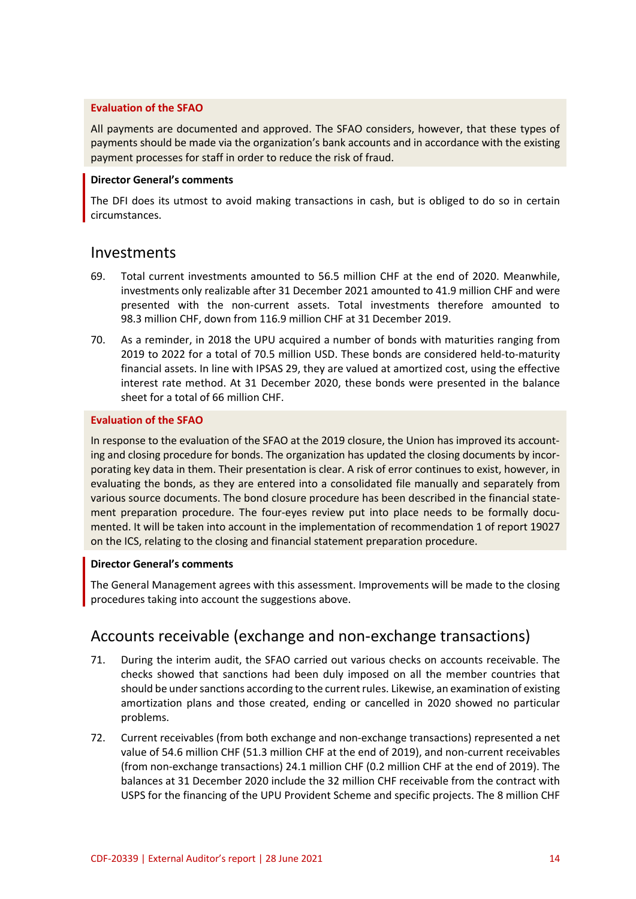### **Evaluation of the SFAO**

All payments are documented and approved. The SFAO considers, however, that these types of payments should be made via the organization's bank accounts and in accordance with the existing payment processes for staff in order to reduce the risk of fraud.

#### **Director General's comments**

The DFI does its utmost to avoid making transactions in cash, but is obliged to do so in certain circumstances.

### Investments

- 69. Total current investments amounted to 56.5 million CHF at the end of 2020. Meanwhile, investments only realizable after 31 December 2021 amounted to 41.9 million CHF and were presented with the non-current assets. Total investments therefore amounted to 98.3 million CHF, down from 116.9 million CHF at 31 December 2019.
- 70. As a reminder, in 2018 the UPU acquired a number of bonds with maturities ranging from 2019 to 2022 for a total of 70.5 million USD. These bonds are considered held-to-maturity financial assets. In line with IPSAS 29, they are valued at amortized cost, using the effective interest rate method. At 31 December 2020, these bonds were presented in the balance sheet for a total of 66 million CHF.

### **Evaluation of the SFAO**

In response to the evaluation of the SFAO at the 2019 closure, the Union has improved its accounting and closing procedure for bonds. The organization has updated the closing documents by incorporating key data in them. Their presentation is clear. A risk of error continues to exist, however, in evaluating the bonds, as they are entered into a consolidated file manually and separately from various source documents. The bond closure procedure has been described in the financial statement preparation procedure. The four-eyes review put into place needs to be formally documented. It will be taken into account in the implementation of recommendation 1 of report 19027 on the ICS, relating to the closing and financial statement preparation procedure.

#### **Director General's comments**

The General Management agrees with this assessment. Improvements will be made to the closing procedures taking into account the suggestions above.

# Accounts receivable (exchange and non-exchange transactions)

- 71. During the interim audit, the SFAO carried out various checks on accounts receivable. The checks showed that sanctions had been duly imposed on all the member countries that should be under sanctions according to the current rules. Likewise, an examination of existing amortization plans and those created, ending or cancelled in 2020 showed no particular problems.
- 72. Current receivables (from both exchange and non-exchange transactions) represented a net value of 54.6 million CHF (51.3 million CHF at the end of 2019), and non-current receivables (from non-exchange transactions) 24.1 million CHF (0.2 million CHF at the end of 2019). The balances at 31 December 2020 include the 32 million CHF receivable from the contract with USPS for the financing of the UPU Provident Scheme and specific projects. The 8 million CHF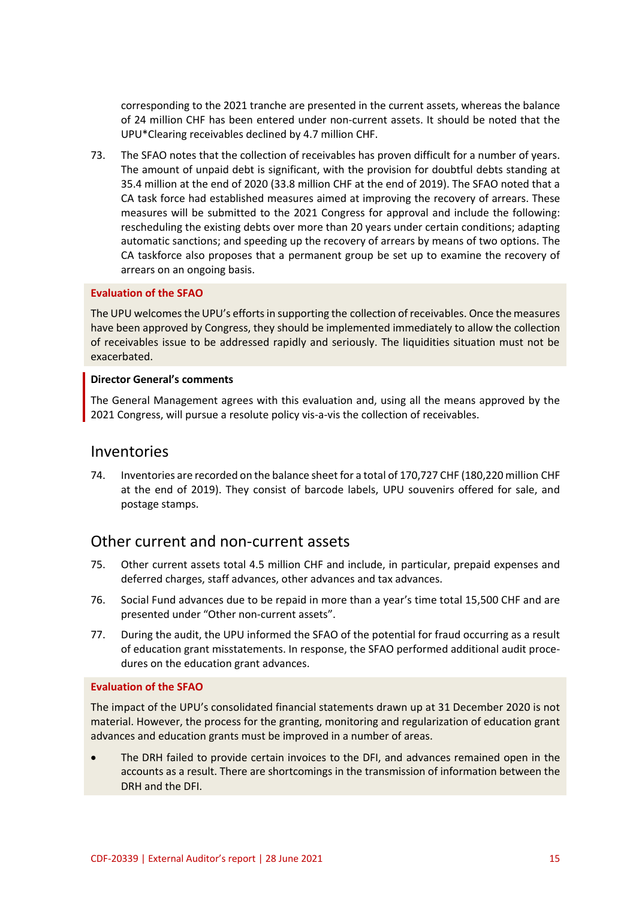corresponding to the 2021 tranche are presented in the current assets, whereas the balance of 24 million CHF has been entered under non-current assets. It should be noted that the UPU\*Clearing receivables declined by 4.7 million CHF.

73. The SFAO notes that the collection of receivables has proven difficult for a number of years. The amount of unpaid debt is significant, with the provision for doubtful debts standing at 35.4 million at the end of 2020 (33.8 million CHF at the end of 2019). The SFAO noted that a CA task force had established measures aimed at improving the recovery of arrears. These measures will be submitted to the 2021 Congress for approval and include the following: rescheduling the existing debts over more than 20 years under certain conditions; adapting automatic sanctions; and speeding up the recovery of arrears by means of two options. The CA taskforce also proposes that a permanent group be set up to examine the recovery of arrears on an ongoing basis.

#### **Evaluation of the SFAO**

The UPU welcomes the UPU's efforts in supporting the collection of receivables. Once the measures have been approved by Congress, they should be implemented immediately to allow the collection of receivables issue to be addressed rapidly and seriously. The liquidities situation must not be exacerbated.

#### **Director General's comments**

The General Management agrees with this evaluation and, using all the means approved by the 2021 Congress, will pursue a resolute policy vis-a-vis the collection of receivables.

### Inventories

74. Inventories are recorded on the balance sheet for a total of 170,727 CHF (180,220 million CHF at the end of 2019). They consist of barcode labels, UPU souvenirs offered for sale, and postage stamps.

### Other current and non-current assets

- 75. Other current assets total 4.5 million CHF and include, in particular, prepaid expenses and deferred charges, staff advances, other advances and tax advances.
- 76. Social Fund advances due to be repaid in more than a year's time total 15,500 CHF and are presented under "Other non-current assets".
- 77. During the audit, the UPU informed the SFAO of the potential for fraud occurring as a result of education grant misstatements. In response, the SFAO performed additional audit procedures on the education grant advances.

#### **Evaluation of the SFAO**

The impact of the UPU's consolidated financial statements drawn up at 31 December 2020 is not material. However, the process for the granting, monitoring and regularization of education grant advances and education grants must be improved in a number of areas.

 The DRH failed to provide certain invoices to the DFI, and advances remained open in the accounts as a result. There are shortcomings in the transmission of information between the DRH and the DFI.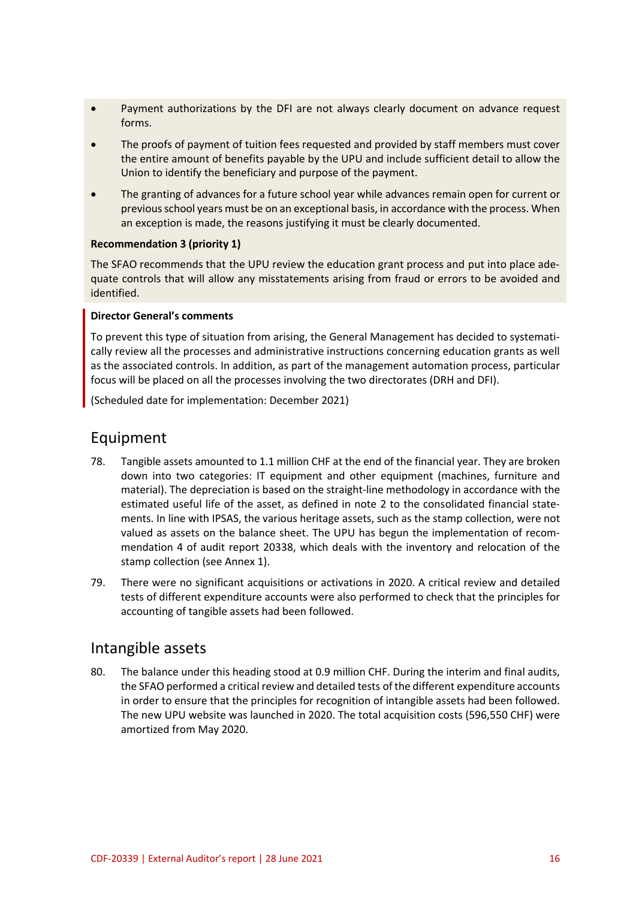- Payment authorizations by the DFI are not always clearly document on advance request forms.
- The proofs of payment of tuition fees requested and provided by staff members must cover the entire amount of benefits payable by the UPU and include sufficient detail to allow the Union to identify the beneficiary and purpose of the payment.
- The granting of advances for a future school year while advances remain open for current or previous school years must be on an exceptional basis, in accordance with the process. When an exception is made, the reasons justifying it must be clearly documented.

#### **Recommendation 3 (priority 1)**

The SFAO recommends that the UPU review the education grant process and put into place adequate controls that will allow any misstatements arising from fraud or errors to be avoided and identified.

#### **Director General's comments**

To prevent this type of situation from arising, the General Management has decided to systematically review all the processes and administrative instructions concerning education grants as well as the associated controls. In addition, as part of the management automation process, particular focus will be placed on all the processes involving the two directorates (DRH and DFI).

(Scheduled date for implementation: December 2021)

### Equipment

- 78. Tangible assets amounted to 1.1 million CHF at the end of the financial year. They are broken down into two categories: IT equipment and other equipment (machines, furniture and material). The depreciation is based on the straight-line methodology in accordance with the estimated useful life of the asset, as defined in note 2 to the consolidated financial statements. In line with IPSAS, the various heritage assets, such as the stamp collection, were not valued as assets on the balance sheet. The UPU has begun the implementation of recommendation 4 of audit report 20338, which deals with the inventory and relocation of the stamp collection (see Annex 1).
- 79. There were no significant acquisitions or activations in 2020. A critical review and detailed tests of different expenditure accounts were also performed to check that the principles for accounting of tangible assets had been followed.

### Intangible assets

80. The balance under this heading stood at 0.9 million CHF. During the interim and final audits, the SFAO performed a critical review and detailed tests of the different expenditure accounts in order to ensure that the principles for recognition of intangible assets had been followed. The new UPU website was launched in 2020. The total acquisition costs (596,550 CHF) were amortized from May 2020.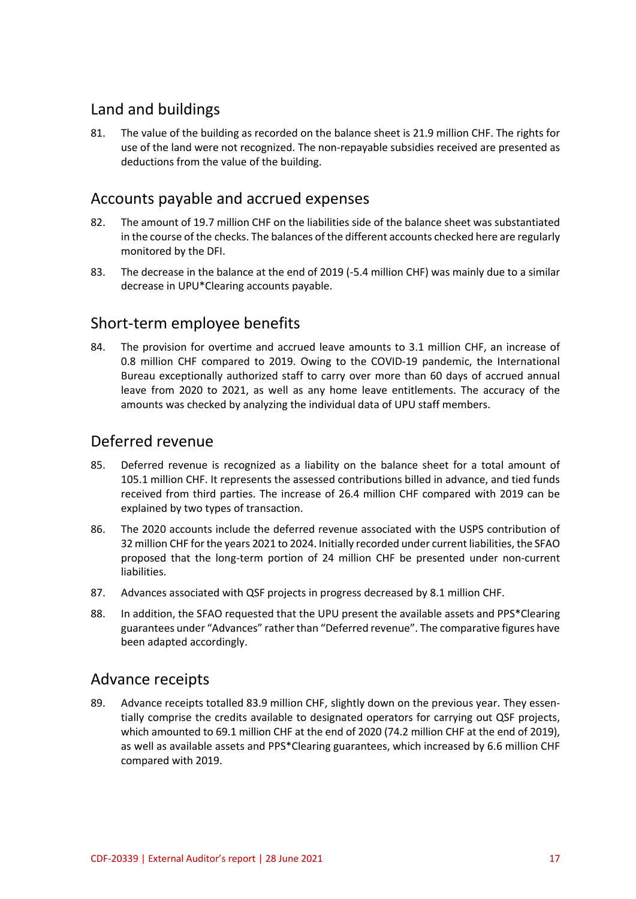# Land and buildings

81. The value of the building as recorded on the balance sheet is 21.9 million CHF. The rights for use of the land were not recognized. The non-repayable subsidies received are presented as deductions from the value of the building.

### Accounts payable and accrued expenses

- 82. The amount of 19.7 million CHF on the liabilities side of the balance sheet was substantiated in the course of the checks. The balances of the different accounts checked here are regularly monitored by the DFI.
- 83. The decrease in the balance at the end of 2019 (-5.4 million CHF) was mainly due to a similar decrease in UPU\*Clearing accounts payable.

## Short-term employee benefits

84. The provision for overtime and accrued leave amounts to 3.1 million CHF, an increase of 0.8 million CHF compared to 2019. Owing to the COVID-19 pandemic, the International Bureau exceptionally authorized staff to carry over more than 60 days of accrued annual leave from 2020 to 2021, as well as any home leave entitlements. The accuracy of the amounts was checked by analyzing the individual data of UPU staff members.

### Deferred revenue

- 85. Deferred revenue is recognized as a liability on the balance sheet for a total amount of 105.1 million CHF. It represents the assessed contributions billed in advance, and tied funds received from third parties. The increase of 26.4 million CHF compared with 2019 can be explained by two types of transaction.
- 86. The 2020 accounts include the deferred revenue associated with the USPS contribution of 32 million CHF for the years 2021 to 2024. Initially recorded under current liabilities, the SFAO proposed that the long-term portion of 24 million CHF be presented under non-current liabilities.
- 87. Advances associated with QSF projects in progress decreased by 8.1 million CHF.
- 88. In addition, the SFAO requested that the UPU present the available assets and PPS\*Clearing guarantees under "Advances" rather than "Deferred revenue". The comparative figures have been adapted accordingly.

### Advance receipts

89. Advance receipts totalled 83.9 million CHF, slightly down on the previous year. They essentially comprise the credits available to designated operators for carrying out QSF projects, which amounted to 69.1 million CHF at the end of 2020 (74.2 million CHF at the end of 2019), as well as available assets and PPS\*Clearing guarantees, which increased by 6.6 million CHF compared with 2019.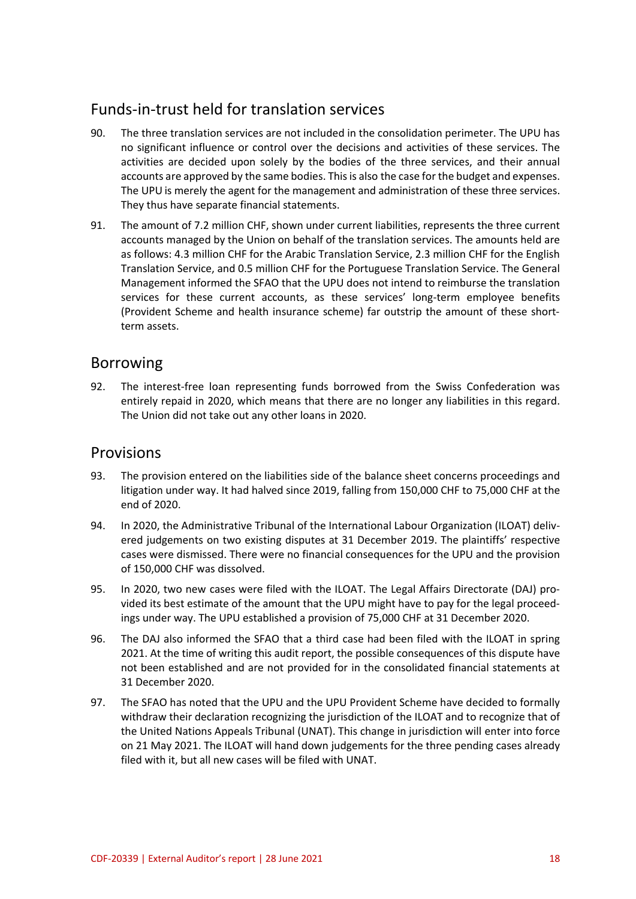# Funds-in-trust held for translation services

- 90. The three translation services are not included in the consolidation perimeter. The UPU has no significant influence or control over the decisions and activities of these services. The activities are decided upon solely by the bodies of the three services, and their annual accounts are approved by the same bodies. This is also the case for the budget and expenses. The UPU is merely the agent for the management and administration of these three services. They thus have separate financial statements.
- 91. The amount of 7.2 million CHF, shown under current liabilities, represents the three current accounts managed by the Union on behalf of the translation services. The amounts held are as follows: 4.3 million CHF for the Arabic Translation Service, 2.3 million CHF for the English Translation Service, and 0.5 million CHF for the Portuguese Translation Service. The General Management informed the SFAO that the UPU does not intend to reimburse the translation services for these current accounts, as these services' long-term employee benefits (Provident Scheme and health insurance scheme) far outstrip the amount of these shortterm assets.

### Borrowing

92. The interest-free loan representing funds borrowed from the Swiss Confederation was entirely repaid in 2020, which means that there are no longer any liabilities in this regard. The Union did not take out any other loans in 2020.

### Provisions

- 93. The provision entered on the liabilities side of the balance sheet concerns proceedings and litigation under way. It had halved since 2019, falling from 150,000 CHF to 75,000 CHF at the end of 2020.
- 94. In 2020, the Administrative Tribunal of the International Labour Organization (ILOAT) delivered judgements on two existing disputes at 31 December 2019. The plaintiffs' respective cases were dismissed. There were no financial consequences for the UPU and the provision of 150,000 CHF was dissolved.
- 95. In 2020, two new cases were filed with the ILOAT. The Legal Affairs Directorate (DAJ) provided its best estimate of the amount that the UPU might have to pay for the legal proceedings under way. The UPU established a provision of 75,000 CHF at 31 December 2020.
- 96. The DAJ also informed the SFAO that a third case had been filed with the ILOAT in spring 2021. At the time of writing this audit report, the possible consequences of this dispute have not been established and are not provided for in the consolidated financial statements at 31 December 2020.
- 97. The SFAO has noted that the UPU and the UPU Provident Scheme have decided to formally withdraw their declaration recognizing the jurisdiction of the ILOAT and to recognize that of the United Nations Appeals Tribunal (UNAT). This change in jurisdiction will enter into force on 21 May 2021. The ILOAT will hand down judgements for the three pending cases already filed with it, but all new cases will be filed with UNAT.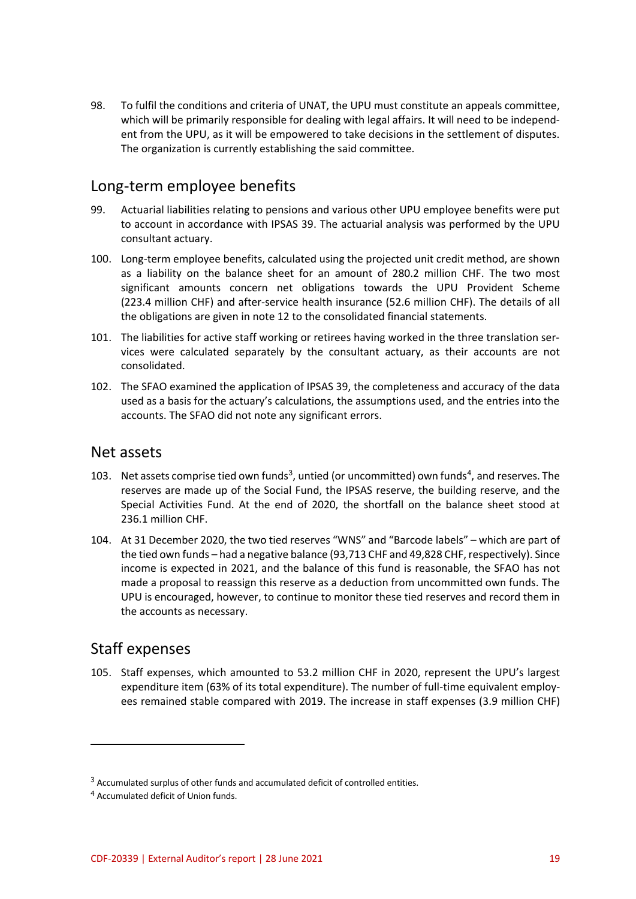98. To fulfil the conditions and criteria of UNAT, the UPU must constitute an appeals committee, which will be primarily responsible for dealing with legal affairs. It will need to be independent from the UPU, as it will be empowered to take decisions in the settlement of disputes. The organization is currently establishing the said committee.

## Long-term employee benefits

- 99. Actuarial liabilities relating to pensions and various other UPU employee benefits were put to account in accordance with IPSAS 39. The actuarial analysis was performed by the UPU consultant actuary.
- 100. Long-term employee benefits, calculated using the projected unit credit method, are shown as a liability on the balance sheet for an amount of 280.2 million CHF. The two most significant amounts concern net obligations towards the UPU Provident Scheme (223.4 million CHF) and after-service health insurance (52.6 million CHF). The details of all the obligations are given in note 12 to the consolidated financial statements.
- 101. The liabilities for active staff working or retirees having worked in the three translation services were calculated separately by the consultant actuary, as their accounts are not consolidated.
- 102. The SFAO examined the application of IPSAS 39, the completeness and accuracy of the data used as a basis for the actuary's calculations, the assumptions used, and the entries into the accounts. The SFAO did not note any significant errors.

### Net assets

- 103. Net assets comprise tied own funds<sup>3</sup>, untied (or uncommitted) own funds<sup>4</sup>, and reserves. The reserves are made up of the Social Fund, the IPSAS reserve, the building reserve, and the Special Activities Fund. At the end of 2020, the shortfall on the balance sheet stood at 236.1 million CHF.
- 104. At 31 December 2020, the two tied reserves "WNS" and "Barcode labels" which are part of the tied own funds – had a negative balance (93,713 CHF and 49,828 CHF, respectively). Since income is expected in 2021, and the balance of this fund is reasonable, the SFAO has not made a proposal to reassign this reserve as a deduction from uncommitted own funds. The UPU is encouraged, however, to continue to monitor these tied reserves and record them in the accounts as necessary.

## Staff expenses

 $\overline{a}$ 

105. Staff expenses, which amounted to 53.2 million CHF in 2020, represent the UPU's largest expenditure item (63% of its total expenditure). The number of full-time equivalent employees remained stable compared with 2019. The increase in staff expenses (3.9 million CHF)

 $3$  Accumulated surplus of other funds and accumulated deficit of controlled entities.

<sup>4</sup> Accumulated deficit of Union funds.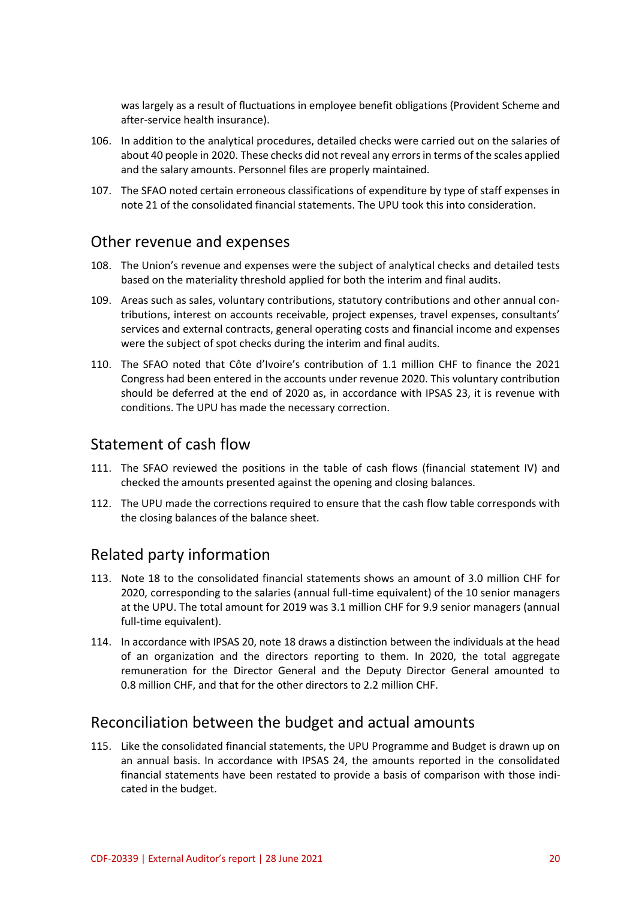was largely as a result of fluctuations in employee benefit obligations (Provident Scheme and after-service health insurance).

- 106. In addition to the analytical procedures, detailed checks were carried out on the salaries of about 40 people in 2020. These checks did not reveal any errors in terms of the scales applied and the salary amounts. Personnel files are properly maintained.
- 107. The SFAO noted certain erroneous classifications of expenditure by type of staff expenses in note 21 of the consolidated financial statements. The UPU took this into consideration.

### Other revenue and expenses

- 108. The Union's revenue and expenses were the subject of analytical checks and detailed tests based on the materiality threshold applied for both the interim and final audits.
- 109. Areas such as sales, voluntary contributions, statutory contributions and other annual contributions, interest on accounts receivable, project expenses, travel expenses, consultants' services and external contracts, general operating costs and financial income and expenses were the subject of spot checks during the interim and final audits.
- 110. The SFAO noted that Côte d'Ivoire's contribution of 1.1 million CHF to finance the 2021 Congress had been entered in the accounts under revenue 2020. This voluntary contribution should be deferred at the end of 2020 as, in accordance with IPSAS 23, it is revenue with conditions. The UPU has made the necessary correction.

### Statement of cash flow

- 111. The SFAO reviewed the positions in the table of cash flows (financial statement IV) and checked the amounts presented against the opening and closing balances.
- 112. The UPU made the corrections required to ensure that the cash flow table corresponds with the closing balances of the balance sheet.

### Related party information

- 113. Note 18 to the consolidated financial statements shows an amount of 3.0 million CHF for 2020, corresponding to the salaries (annual full-time equivalent) of the 10 senior managers at the UPU. The total amount for 2019 was 3.1 million CHF for 9.9 senior managers (annual full-time equivalent).
- 114. In accordance with IPSAS 20, note 18 draws a distinction between the individuals at the head of an organization and the directors reporting to them. In 2020, the total aggregate remuneration for the Director General and the Deputy Director General amounted to 0.8 million CHF, and that for the other directors to 2.2 million CHF.

### Reconciliation between the budget and actual amounts

115. Like the consolidated financial statements, the UPU Programme and Budget is drawn up on an annual basis. In accordance with IPSAS 24, the amounts reported in the consolidated financial statements have been restated to provide a basis of comparison with those indicated in the budget.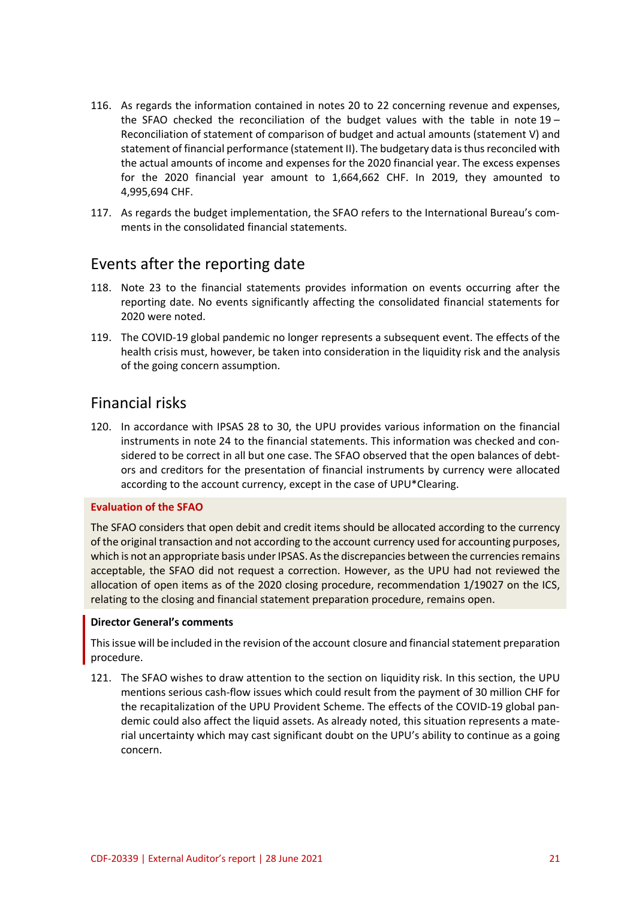- 116. As regards the information contained in notes 20 to 22 concerning revenue and expenses, the SFAO checked the reconciliation of the budget values with the table in note 19 – Reconciliation of statement of comparison of budget and actual amounts (statement V) and statement of financial performance (statement II). The budgetary data is thus reconciled with the actual amounts of income and expenses for the 2020 financial year. The excess expenses for the 2020 financial year amount to 1,664,662 CHF. In 2019, they amounted to 4,995,694 CHF.
- 117. As regards the budget implementation, the SFAO refers to the International Bureau's comments in the consolidated financial statements.

### Events after the reporting date

- 118. Note 23 to the financial statements provides information on events occurring after the reporting date. No events significantly affecting the consolidated financial statements for 2020 were noted.
- 119. The COVID-19 global pandemic no longer represents a subsequent event. The effects of the health crisis must, however, be taken into consideration in the liquidity risk and the analysis of the going concern assumption.

### Financial risks

120. In accordance with IPSAS 28 to 30, the UPU provides various information on the financial instruments in note 24 to the financial statements. This information was checked and considered to be correct in all but one case. The SFAO observed that the open balances of debtors and creditors for the presentation of financial instruments by currency were allocated according to the account currency, except in the case of UPU\*Clearing.

#### **Evaluation of the SFAO**

The SFAO considers that open debit and credit items should be allocated according to the currency of the original transaction and not according to the account currency used for accounting purposes, which is not an appropriate basis under IPSAS. As the discrepancies between the currencies remains acceptable, the SFAO did not request a correction. However, as the UPU had not reviewed the allocation of open items as of the 2020 closing procedure, recommendation 1/19027 on the ICS, relating to the closing and financial statement preparation procedure, remains open.

#### **Director General's comments**

This issue will be included in the revision of the account closure and financial statement preparation procedure.

121. The SFAO wishes to draw attention to the section on liquidity risk. In this section, the UPU mentions serious cash-flow issues which could result from the payment of 30 million CHF for the recapitalization of the UPU Provident Scheme. The effects of the COVID-19 global pandemic could also affect the liquid assets. As already noted, this situation represents a material uncertainty which may cast significant doubt on the UPU's ability to continue as a going concern.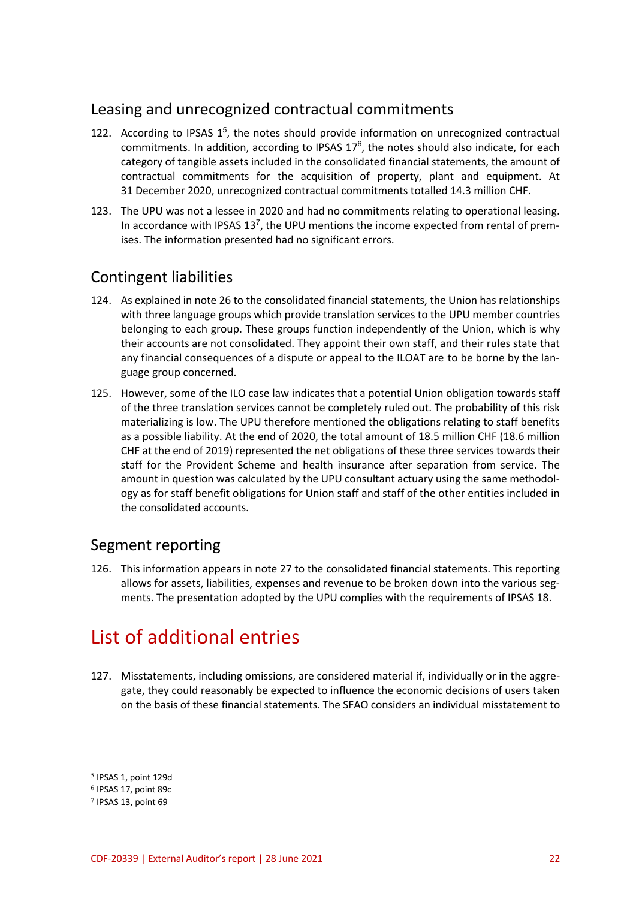## Leasing and unrecognized contractual commitments

- 122. According to IPSAS  $1^5$ , the notes should provide information on unrecognized contractual commitments. In addition, according to IPSAS  $17^6$ , the notes should also indicate, for each category of tangible assets included in the consolidated financial statements, the amount of contractual commitments for the acquisition of property, plant and equipment. At 31 December 2020, unrecognized contractual commitments totalled 14.3 million CHF.
- 123. The UPU was not a lessee in 2020 and had no commitments relating to operational leasing. In accordance with IPSAS  $13<sup>7</sup>$ , the UPU mentions the income expected from rental of premises. The information presented had no significant errors.

## Contingent liabilities

- 124. As explained in note 26 to the consolidated financial statements, the Union has relationships with three language groups which provide translation services to the UPU member countries belonging to each group. These groups function independently of the Union, which is why their accounts are not consolidated. They appoint their own staff, and their rules state that any financial consequences of a dispute or appeal to the ILOAT are to be borne by the language group concerned.
- 125. However, some of the ILO case law indicates that a potential Union obligation towards staff of the three translation services cannot be completely ruled out. The probability of this risk materializing is low. The UPU therefore mentioned the obligations relating to staff benefits as a possible liability. At the end of 2020, the total amount of 18.5 million CHF (18.6 million CHF at the end of 2019) represented the net obligations of these three services towards their staff for the Provident Scheme and health insurance after separation from service. The amount in question was calculated by the UPU consultant actuary using the same methodology as for staff benefit obligations for Union staff and staff of the other entities included in the consolidated accounts.

## Segment reporting

126. This information appears in note 27 to the consolidated financial statements. This reporting allows for assets, liabilities, expenses and revenue to be broken down into the various segments. The presentation adopted by the UPU complies with the requirements of IPSAS 18.

# List of additional entries

127. Misstatements, including omissions, are considered material if, individually or in the aggregate, they could reasonably be expected to influence the economic decisions of users taken on the basis of these financial statements. The SFAO considers an individual misstatement to

 $\overline{a}$ 

<sup>5</sup> IPSAS 1, point 129d

<sup>6</sup> IPSAS 17, point 89c

<sup>7</sup> IPSAS 13, point 69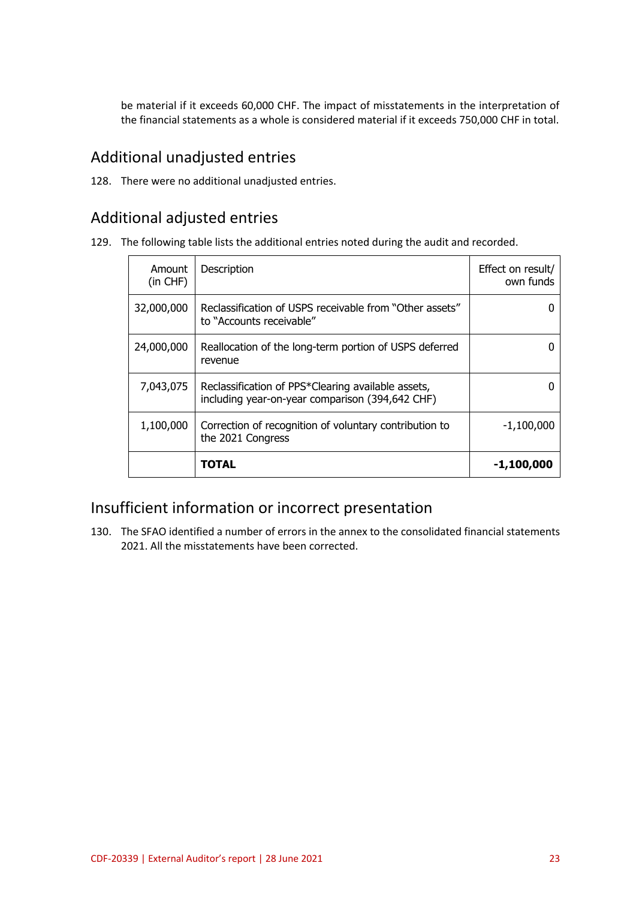be material if it exceeds 60,000 CHF. The impact of misstatements in the interpretation of the financial statements as a whole is considered material if it exceeds 750,000 CHF in total.

# Additional unadjusted entries

128. There were no additional unadjusted entries.

# Additional adjusted entries

129. The following table lists the additional entries noted during the audit and recorded.

| Amount<br>$(in$ CHF $)$ | Description                                                                                           | Effect on result/<br>own funds |
|-------------------------|-------------------------------------------------------------------------------------------------------|--------------------------------|
| 32,000,000              | Reclassification of USPS receivable from "Other assets"<br>to "Accounts receivable"                   |                                |
| 24,000,000              | Reallocation of the long-term portion of USPS deferred<br>revenue                                     |                                |
| 7,043,075               | Reclassification of PPS*Clearing available assets,<br>including year-on-year comparison (394,642 CHF) |                                |
| 1,100,000               | Correction of recognition of voluntary contribution to<br>the 2021 Congress                           | $-1,100,000$                   |
|                         | <b>TOTAL</b>                                                                                          | -1,100,000                     |

# Insufficient information or incorrect presentation

130. The SFAO identified a number of errors in the annex to the consolidated financial statements 2021. All the misstatements have been corrected.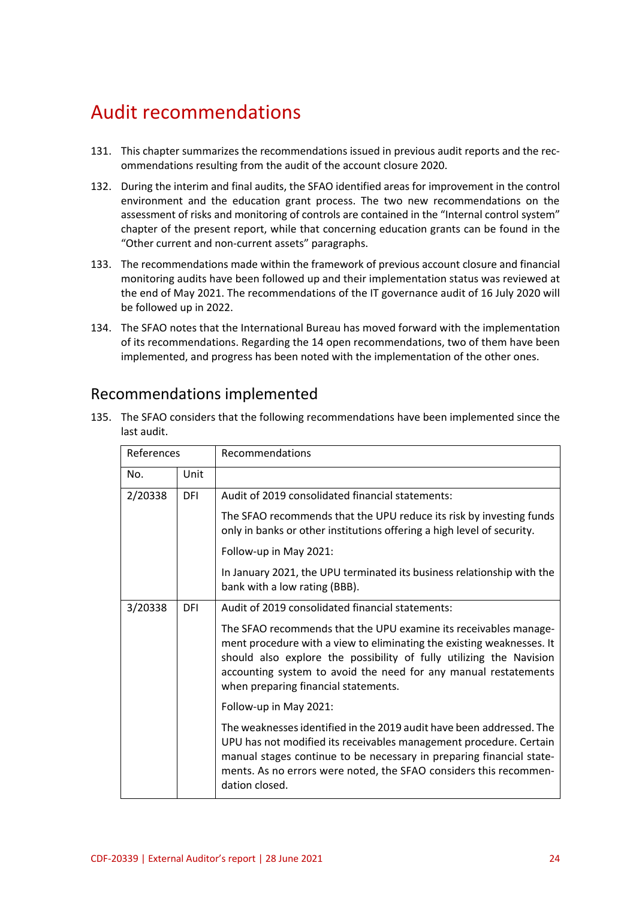# Audit recommendations

- 131. This chapter summarizes the recommendations issued in previous audit reports and the recommendations resulting from the audit of the account closure 2020.
- 132. During the interim and final audits, the SFAO identified areas for improvement in the control environment and the education grant process. The two new recommendations on the assessment of risks and monitoring of controls are contained in the "Internal control system" chapter of the present report, while that concerning education grants can be found in the "Other current and non-current assets" paragraphs.
- 133. The recommendations made within the framework of previous account closure and financial monitoring audits have been followed up and their implementation status was reviewed at the end of May 2021. The recommendations of the IT governance audit of 16 July 2020 will be followed up in 2022.
- 134. The SFAO notes that the International Bureau has moved forward with the implementation of its recommendations. Regarding the 14 open recommendations, two of them have been implemented, and progress has been noted with the implementation of the other ones.

| References |      | Recommendations                                                                                                                                                                                                                                                                                                             |  |  |  |
|------------|------|-----------------------------------------------------------------------------------------------------------------------------------------------------------------------------------------------------------------------------------------------------------------------------------------------------------------------------|--|--|--|
| No.        | Unit |                                                                                                                                                                                                                                                                                                                             |  |  |  |
| 2/20338    | DFI  | Audit of 2019 consolidated financial statements:                                                                                                                                                                                                                                                                            |  |  |  |
|            |      | The SFAO recommends that the UPU reduce its risk by investing funds<br>only in banks or other institutions offering a high level of security.                                                                                                                                                                               |  |  |  |
|            |      | Follow-up in May 2021:                                                                                                                                                                                                                                                                                                      |  |  |  |
|            |      | In January 2021, the UPU terminated its business relationship with the<br>bank with a low rating (BBB).                                                                                                                                                                                                                     |  |  |  |
| 3/20338    | DFI  | Audit of 2019 consolidated financial statements:                                                                                                                                                                                                                                                                            |  |  |  |
|            |      | The SFAO recommends that the UPU examine its receivables manage-<br>ment procedure with a view to eliminating the existing weaknesses. It<br>should also explore the possibility of fully utilizing the Navision<br>accounting system to avoid the need for any manual restatements<br>when preparing financial statements. |  |  |  |
|            |      | Follow-up in May 2021:                                                                                                                                                                                                                                                                                                      |  |  |  |
|            |      | The weaknesses identified in the 2019 audit have been addressed. The<br>UPU has not modified its receivables management procedure. Certain<br>manual stages continue to be necessary in preparing financial state-<br>ments. As no errors were noted, the SFAO considers this recommen-<br>dation closed.                   |  |  |  |

## Recommendations implemented

135. The SFAO considers that the following recommendations have been implemented since the last audit.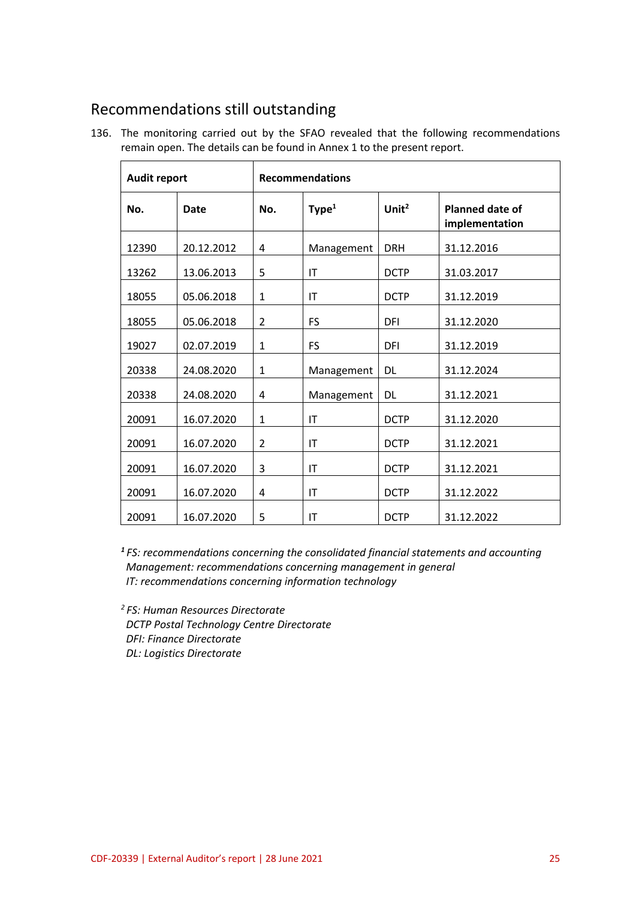# Recommendations still outstanding

136. The monitoring carried out by the SFAO revealed that the following recommendations remain open. The details can be found in Annex 1 to the present report.

| <b>Audit report</b> |            | <b>Recommendations</b> |                   |                   |                                          |
|---------------------|------------|------------------------|-------------------|-------------------|------------------------------------------|
| No.                 | Date       | No.                    | Type <sup>1</sup> | Unit <sup>2</sup> | <b>Planned date of</b><br>implementation |
| 12390               | 20.12.2012 | 4                      | Management        | <b>DRH</b>        | 31.12.2016                               |
| 13262               | 13.06.2013 | 5                      | IT                | <b>DCTP</b>       | 31.03.2017                               |
| 18055               | 05.06.2018 | $\mathbf{1}$           | IT                | <b>DCTP</b>       | 31.12.2019                               |
| 18055               | 05.06.2018 | 2                      | FS                | DFI               | 31.12.2020                               |
| 19027               | 02.07.2019 | $\mathbf{1}$           | FS                | DFI               | 31.12.2019                               |
| 20338               | 24.08.2020 | $\mathbf{1}$           | Management        | <b>DL</b>         | 31.12.2024                               |
| 20338               | 24.08.2020 | 4                      | Management        | <b>DL</b>         | 31.12.2021                               |
| 20091               | 16.07.2020 | $\mathbf{1}$           | T                 | <b>DCTP</b>       | 31.12.2020                               |
| 20091               | 16.07.2020 | 2                      | IT                | <b>DCTP</b>       | 31.12.2021                               |
| 20091               | 16.07.2020 | 3                      | T                 | <b>DCTP</b>       | 31.12.2021                               |
| 20091               | 16.07.2020 | 4                      | IT                | <b>DCTP</b>       | 31.12.2022                               |
| 20091               | 16.07.2020 | 5                      | T                 | <b>DCTP</b>       | 31.12.2022                               |

*1 FS: recommendations concerning the consolidated financial statements and accounting Management: recommendations concerning management in general IT: recommendations concerning information technology*

*2 FS: Human Resources Directorate DCTP Postal Technology Centre Directorate DFI: Finance Directorate DL: Logistics Directorate*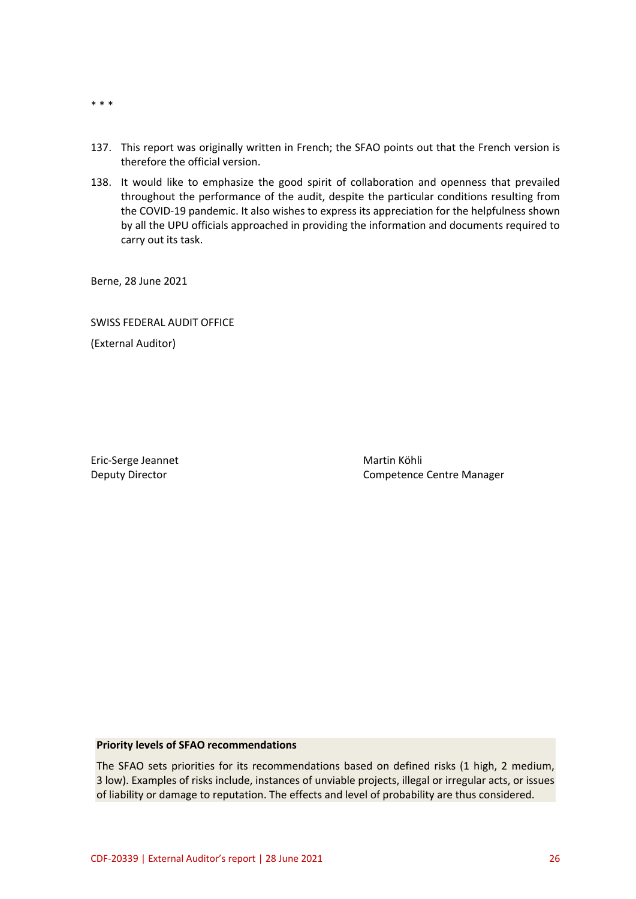- \* \* \*
- 137. This report was originally written in French; the SFAO points out that the French version is therefore the official version.
- 138. It would like to emphasize the good spirit of collaboration and openness that prevailed throughout the performance of the audit, despite the particular conditions resulting from the COVID-19 pandemic. It also wishes to express its appreciation for the helpfulness shown by all the UPU officials approached in providing the information and documents required to carry out its task.

Berne, 28 June 2021

SWISS FEDERAL AUDIT OFFICE

(External Auditor)

Eric-Serge Jeannet Martin Köhli

Deputy Director **Competence Centre Manager** Competence Centre Manager

#### **Priority levels of SFAO recommendations**

The SFAO sets priorities for its recommendations based on defined risks (1 high, 2 medium, 3 low). Examples of risks include, instances of unviable projects, illegal or irregular acts, or issues of liability or damage to reputation. The effects and level of probability are thus considered.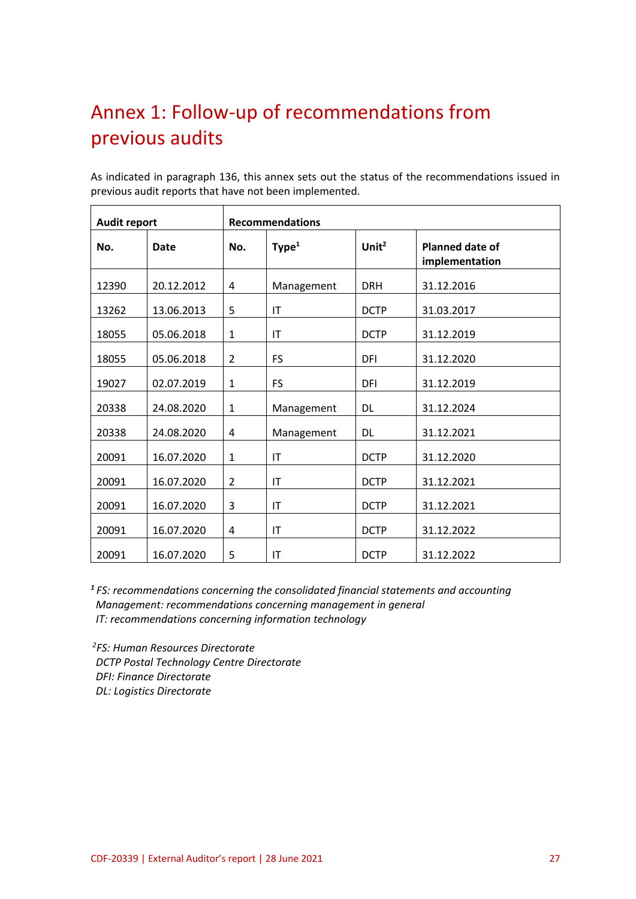# Annex 1: Follow-up of recommendations from previous audits

 $\overline{\phantom{a}}$ 

As indicated in paragraph 136, this annex sets out the status of the recommendations issued in previous audit reports that have not been implemented.

| <b>Audit report</b> |             | <b>Recommendations</b> |                   |                   |                                          |
|---------------------|-------------|------------------------|-------------------|-------------------|------------------------------------------|
| No.                 | <b>Date</b> | No.                    | Type <sup>1</sup> | Unit <sup>2</sup> | <b>Planned date of</b><br>implementation |
| 12390               | 20.12.2012  | 4                      | Management        | <b>DRH</b>        | 31.12.2016                               |
| 13262               | 13.06.2013  | 5                      | IT                | <b>DCTP</b>       | 31.03.2017                               |
| 18055               | 05.06.2018  | $\mathbf{1}$           | IT                | <b>DCTP</b>       | 31.12.2019                               |
| 18055               | 05.06.2018  | $\overline{2}$         | <b>FS</b>         | DFI               | 31.12.2020                               |
| 19027               | 02.07.2019  | $\mathbf{1}$           | <b>FS</b>         | DFI               | 31.12.2019                               |
| 20338               | 24.08.2020  | $\mathbf{1}$           | Management        | <b>DL</b>         | 31.12.2024                               |
| 20338               | 24.08.2020  | 4                      | Management        | <b>DL</b>         | 31.12.2021                               |
| 20091               | 16.07.2020  | $\mathbf{1}$           | IT                | <b>DCTP</b>       | 31.12.2020                               |
| 20091               | 16.07.2020  | 2                      | IT                | <b>DCTP</b>       | 31.12.2021                               |
| 20091               | 16.07.2020  | 3                      | T                 | <b>DCTP</b>       | 31.12.2021                               |
| 20091               | 16.07.2020  | 4                      | IT                | <b>DCTP</b>       | 31.12.2022                               |
| 20091               | 16.07.2020  | 5                      | IT                | <b>DCTP</b>       | 31.12.2022                               |

*1 FS: recommendations concerning the consolidated financial statements and accounting Management: recommendations concerning management in general IT: recommendations concerning information technology*

*2 FS: Human Resources Directorate DCTP Postal Technology Centre Directorate DFI: Finance Directorate DL: Logistics Directorate*

 $\mathbf{r}$ 

 $\overline{\phantom{0}}$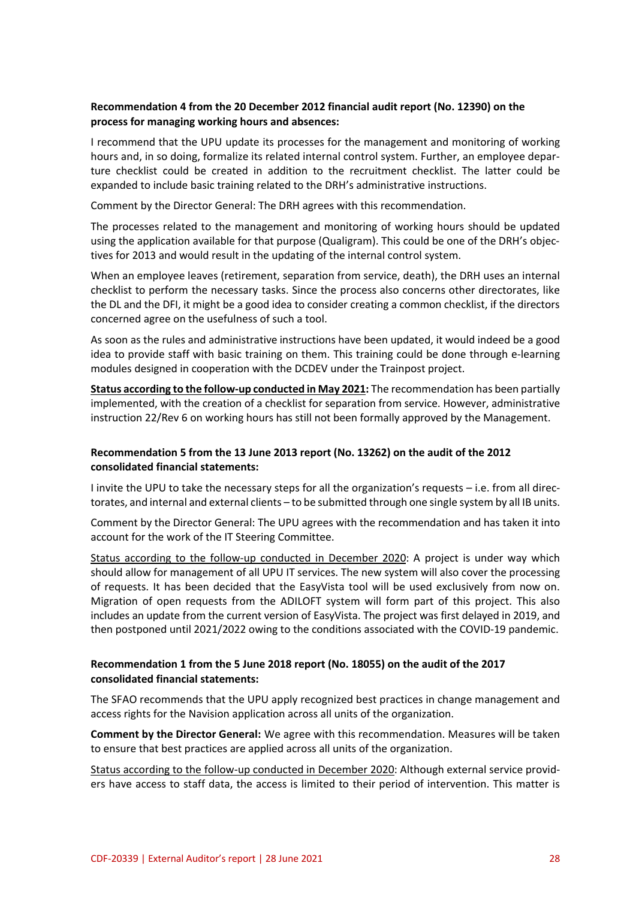### **Recommendation 4 from the 20 December 2012 financial audit report (No. 12390) on the process for managing working hours and absences:**

I recommend that the UPU update its processes for the management and monitoring of working hours and, in so doing, formalize its related internal control system. Further, an employee departure checklist could be created in addition to the recruitment checklist. The latter could be expanded to include basic training related to the DRH's administrative instructions.

Comment by the Director General: The DRH agrees with this recommendation.

The processes related to the management and monitoring of working hours should be updated using the application available for that purpose (Qualigram). This could be one of the DRH's objectives for 2013 and would result in the updating of the internal control system.

When an employee leaves (retirement, separation from service, death), the DRH uses an internal checklist to perform the necessary tasks. Since the process also concerns other directorates, like the DL and the DFI, it might be a good idea to consider creating a common checklist, if the directors concerned agree on the usefulness of such a tool.

As soon as the rules and administrative instructions have been updated, it would indeed be a good idea to provide staff with basic training on them. This training could be done through e-learning modules designed in cooperation with the DCDEV under the Trainpost project.

**Status according to the follow-up conducted in May 2021:** The recommendation has been partially implemented, with the creation of a checklist for separation from service. However, administrative instruction 22/Rev 6 on working hours has still not been formally approved by the Management.

### **Recommendation 5 from the 13 June 2013 report (No. 13262) on the audit of the 2012 consolidated financial statements:**

I invite the UPU to take the necessary steps for all the organization's requests – i.e. from all directorates, and internal and external clients – to be submitted through one single system by all IB units.

Comment by the Director General: The UPU agrees with the recommendation and has taken it into account for the work of the IT Steering Committee.

Status according to the follow-up conducted in December 2020: A project is under way which should allow for management of all UPU IT services. The new system will also cover the processing of requests. It has been decided that the EasyVista tool will be used exclusively from now on. Migration of open requests from the ADILOFT system will form part of this project. This also includes an update from the current version of EasyVista. The project was first delayed in 2019, and then postponed until 2021/2022 owing to the conditions associated with the COVID-19 pandemic.

### **Recommendation 1 from the 5 June 2018 report (No. 18055) on the audit of the 2017 consolidated financial statements:**

The SFAO recommends that the UPU apply recognized best practices in change management and access rights for the Navision application across all units of the organization.

**Comment by the Director General:** We agree with this recommendation. Measures will be taken to ensure that best practices are applied across all units of the organization.

Status according to the follow-up conducted in December 2020: Although external service providers have access to staff data, the access is limited to their period of intervention. This matter is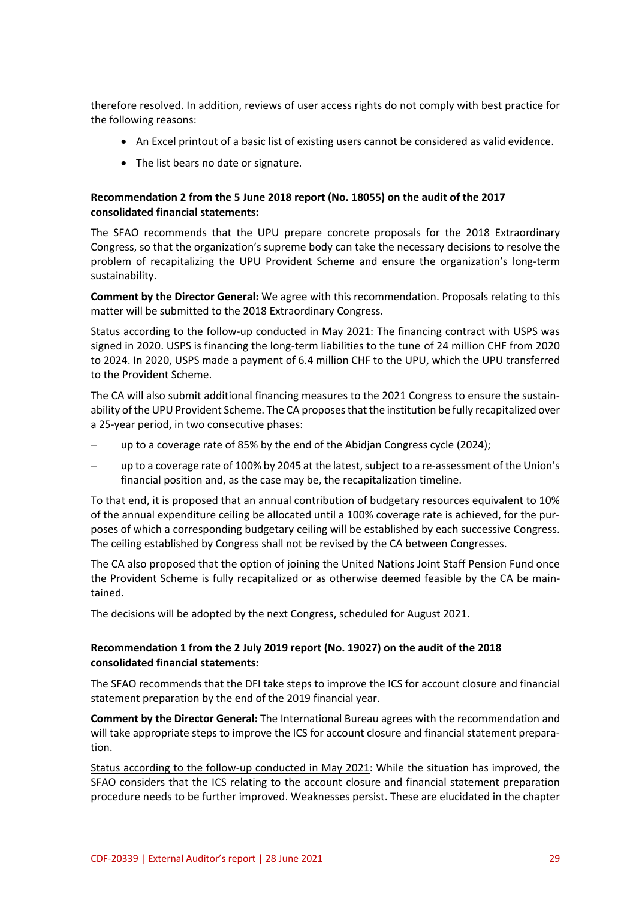therefore resolved. In addition, reviews of user access rights do not comply with best practice for the following reasons:

- An Excel printout of a basic list of existing users cannot be considered as valid evidence.
- The list bears no date or signature.

### **Recommendation 2 from the 5 June 2018 report (No. 18055) on the audit of the 2017 consolidated financial statements:**

The SFAO recommends that the UPU prepare concrete proposals for the 2018 Extraordinary Congress, so that the organization's supreme body can take the necessary decisions to resolve the problem of recapitalizing the UPU Provident Scheme and ensure the organization's long-term sustainability.

**Comment by the Director General:** We agree with this recommendation. Proposals relating to this matter will be submitted to the 2018 Extraordinary Congress.

Status according to the follow-up conducted in May 2021: The financing contract with USPS was signed in 2020. USPS is financing the long-term liabilities to the tune of 24 million CHF from 2020 to 2024. In 2020, USPS made a payment of 6.4 million CHF to the UPU, which the UPU transferred to the Provident Scheme.

The CA will also submit additional financing measures to the 2021 Congress to ensure the sustainability of the UPU Provident Scheme. The CA proposes that the institution be fully recapitalized over a 25-year period, in two consecutive phases:

- up to a coverage rate of 85% by the end of the Abidjan Congress cycle (2024);
- up to a coverage rate of 100% by 2045 at the latest, subject to a re-assessment of the Union's financial position and, as the case may be, the recapitalization timeline.

To that end, it is proposed that an annual contribution of budgetary resources equivalent to 10% of the annual expenditure ceiling be allocated until a 100% coverage rate is achieved, for the purposes of which a corresponding budgetary ceiling will be established by each successive Congress. The ceiling established by Congress shall not be revised by the CA between Congresses.

The CA also proposed that the option of joining the United Nations Joint Staff Pension Fund once the Provident Scheme is fully recapitalized or as otherwise deemed feasible by the CA be maintained.

The decisions will be adopted by the next Congress, scheduled for August 2021.

### **Recommendation 1 from the 2 July 2019 report (No. 19027) on the audit of the 2018 consolidated financial statements:**

The SFAO recommends that the DFI take steps to improve the ICS for account closure and financial statement preparation by the end of the 2019 financial year.

**Comment by the Director General:** The International Bureau agrees with the recommendation and will take appropriate steps to improve the ICS for account closure and financial statement preparation.

Status according to the follow-up conducted in May 2021: While the situation has improved, the SFAO considers that the ICS relating to the account closure and financial statement preparation procedure needs to be further improved. Weaknesses persist. These are elucidated in the chapter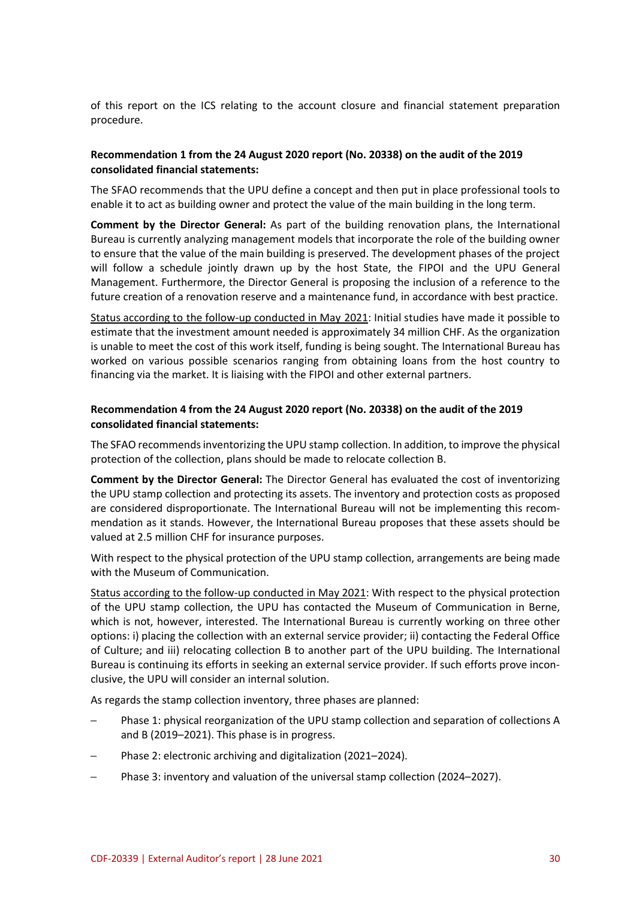of this report on the ICS relating to the account closure and financial statement preparation procedure.

### **Recommendation 1 from the 24 August 2020 report (No. 20338) on the audit of the 2019 consolidated financial statements:**

The SFAO recommends that the UPU define a concept and then put in place professional tools to enable it to act as building owner and protect the value of the main building in the long term.

**Comment by the Director General:** As part of the building renovation plans, the International Bureau is currently analyzing management models that incorporate the role of the building owner to ensure that the value of the main building is preserved. The development phases of the project will follow a schedule jointly drawn up by the host State, the FIPOI and the UPU General Management. Furthermore, the Director General is proposing the inclusion of a reference to the future creation of a renovation reserve and a maintenance fund, in accordance with best practice.

Status according to the follow-up conducted in May 2021: Initial studies have made it possible to estimate that the investment amount needed is approximately 34 million CHF. As the organization is unable to meet the cost of this work itself, funding is being sought. The International Bureau has worked on various possible scenarios ranging from obtaining loans from the host country to financing via the market. It is liaising with the FIPOI and other external partners.

### **Recommendation 4 from the 24 August 2020 report (No. 20338) on the audit of the 2019 consolidated financial statements:**

The SFAO recommends inventorizing the UPU stamp collection. In addition, to improve the physical protection of the collection, plans should be made to relocate collection B.

**Comment by the Director General:** The Director General has evaluated the cost of inventorizing the UPU stamp collection and protecting its assets. The inventory and protection costs as proposed are considered disproportionate. The International Bureau will not be implementing this recommendation as it stands. However, the International Bureau proposes that these assets should be valued at 2.5 million CHF for insurance purposes.

With respect to the physical protection of the UPU stamp collection, arrangements are being made with the Museum of Communication.

Status according to the follow-up conducted in May 2021: With respect to the physical protection of the UPU stamp collection, the UPU has contacted the Museum of Communication in Berne, which is not, however, interested. The International Bureau is currently working on three other options: i) placing the collection with an external service provider; ii) contacting the Federal Office of Culture; and iii) relocating collection B to another part of the UPU building. The International Bureau is continuing its efforts in seeking an external service provider. If such efforts prove inconclusive, the UPU will consider an internal solution.

As regards the stamp collection inventory, three phases are planned:

- Phase 1: physical reorganization of the UPU stamp collection and separation of collections A and B (2019–2021). This phase is in progress.
- Phase 2: electronic archiving and digitalization (2021–2024).
- Phase 3: inventory and valuation of the universal stamp collection (2024–2027).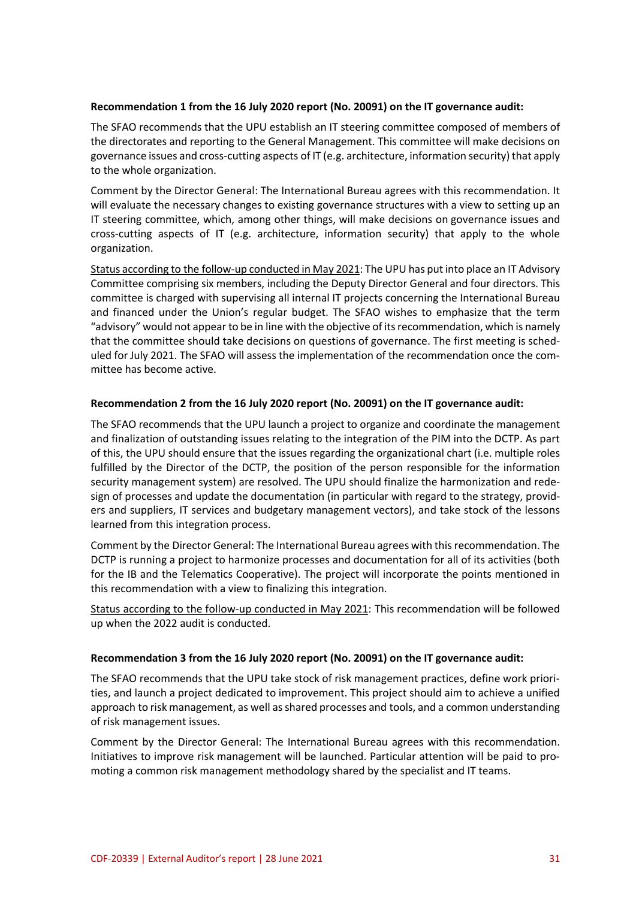#### **Recommendation 1 from the 16 July 2020 report (No. 20091) on the IT governance audit:**

The SFAO recommends that the UPU establish an IT steering committee composed of members of the directorates and reporting to the General Management. This committee will make decisions on governance issues and cross-cutting aspects of IT (e.g. architecture, information security) that apply to the whole organization.

Comment by the Director General: The International Bureau agrees with this recommendation. It will evaluate the necessary changes to existing governance structures with a view to setting up an IT steering committee, which, among other things, will make decisions on governance issues and cross-cutting aspects of IT (e.g. architecture, information security) that apply to the whole organization.

Status according to the follow-up conducted in May 2021: The UPU has put into place an IT Advisory Committee comprising six members, including the Deputy Director General and four directors. This committee is charged with supervising all internal IT projects concerning the International Bureau and financed under the Union's regular budget. The SFAO wishes to emphasize that the term "advisory" would not appear to be in line with the objective of its recommendation, which is namely that the committee should take decisions on questions of governance. The first meeting is scheduled for July 2021. The SFAO will assess the implementation of the recommendation once the committee has become active.

### **Recommendation 2 from the 16 July 2020 report (No. 20091) on the IT governance audit:**

The SFAO recommends that the UPU launch a project to organize and coordinate the management and finalization of outstanding issues relating to the integration of the PIM into the DCTP. As part of this, the UPU should ensure that the issues regarding the organizational chart (i.e. multiple roles fulfilled by the Director of the DCTP, the position of the person responsible for the information security management system) are resolved. The UPU should finalize the harmonization and redesign of processes and update the documentation (in particular with regard to the strategy, providers and suppliers, IT services and budgetary management vectors), and take stock of the lessons learned from this integration process.

Comment by the Director General: The International Bureau agrees with this recommendation. The DCTP is running a project to harmonize processes and documentation for all of its activities (both for the IB and the Telematics Cooperative). The project will incorporate the points mentioned in this recommendation with a view to finalizing this integration.

Status according to the follow-up conducted in May 2021: This recommendation will be followed up when the 2022 audit is conducted.

#### **Recommendation 3 from the 16 July 2020 report (No. 20091) on the IT governance audit:**

The SFAO recommends that the UPU take stock of risk management practices, define work priorities, and launch a project dedicated to improvement. This project should aim to achieve a unified approach to risk management, as well as shared processes and tools, and a common understanding of risk management issues.

Comment by the Director General: The International Bureau agrees with this recommendation. Initiatives to improve risk management will be launched. Particular attention will be paid to promoting a common risk management methodology shared by the specialist and IT teams.